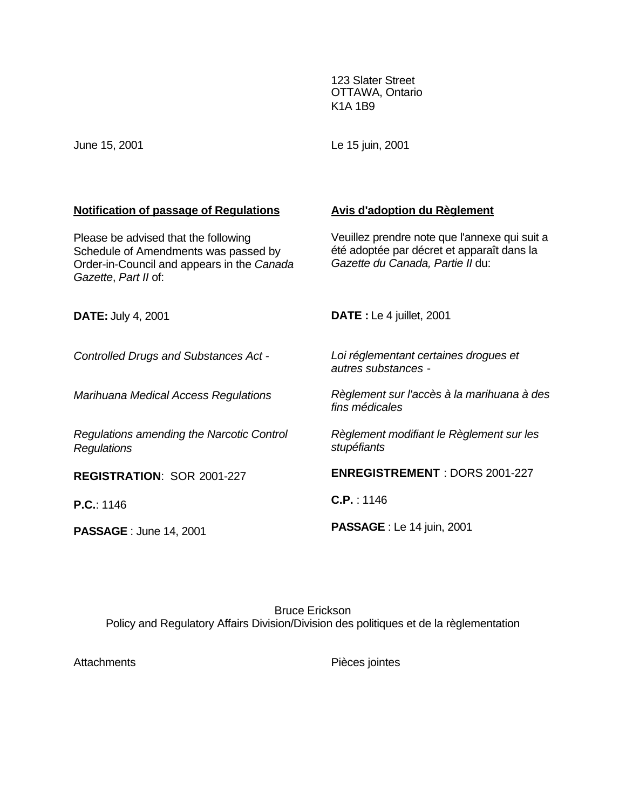123 Slater Street OTTAWA, Ontario K1A 1B9

June 15, 2001

Le 15 juin, 2001

# **Notification of passage of Regulations**

Please be advised that the following Schedule of Amendments was passed by Order-in-Council and appears in the *Canada Gazette*, *Part II* of:

# **Avis d'adoption du Règlement**

Veuillez prendre note que l'annexe qui suit a été adoptée par décret et apparaît dans la *Gazette du Canada, Partie II* du:

| <b>DATE: July 4, 2001</b>                                       | <b>DATE</b> : Le 4 juillet, 2001                             |
|-----------------------------------------------------------------|--------------------------------------------------------------|
| <b>Controlled Drugs and Substances Act -</b>                    | Loi réglementant certaines droques et<br>autres substances - |
| Marihuana Medical Access Regulations                            | Règlement sur l'accès à la marihuana à des<br>fins médicales |
| Regulations amending the Narcotic Control<br><b>Regulations</b> | Règlement modifiant le Règlement sur les<br>stupéfiants      |
| REGISTRATION: SOR 2001-227                                      | <b>ENREGISTREMENT: DORS 2001-227</b>                         |
| P.C.: 1146                                                      | C.P. : 1146                                                  |
| <b>PASSAGE: June 14, 2001</b>                                   | <b>PASSAGE</b> : Le 14 juin, 2001                            |

Bruce Erickson Policy and Regulatory Affairs Division/Division des politiques et de la règlementation

Attachments Pièces jointes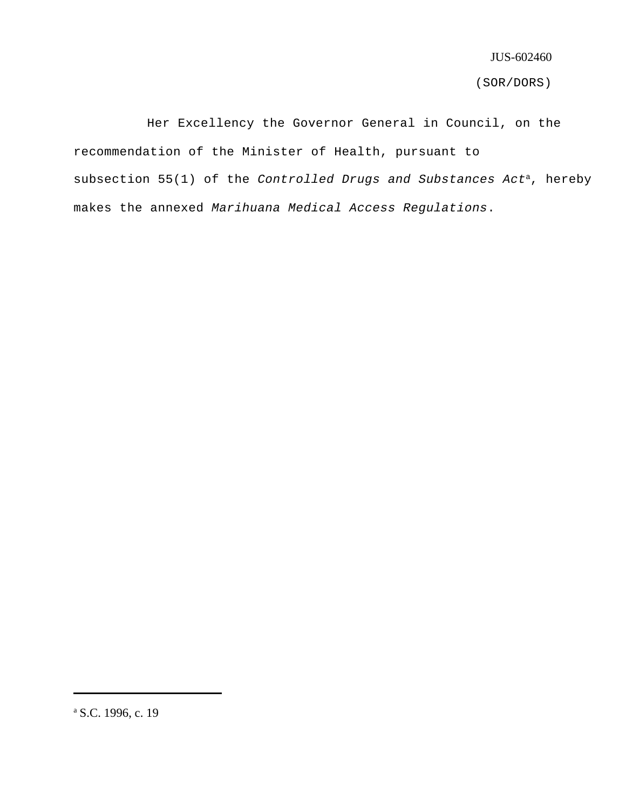(SOR/DORS)

Her Excellency the Governor General in Council, on the recommendation of the Minister of Health, pursuant to subsection 55(1) of the *Controlled Drugs and Substances Act*<sup>a</sup>, hereby makes the annexed *Marihuana Medical Access Regulations*.

<sup>&</sup>lt;sup>a</sup> S.C. 1996, c. 19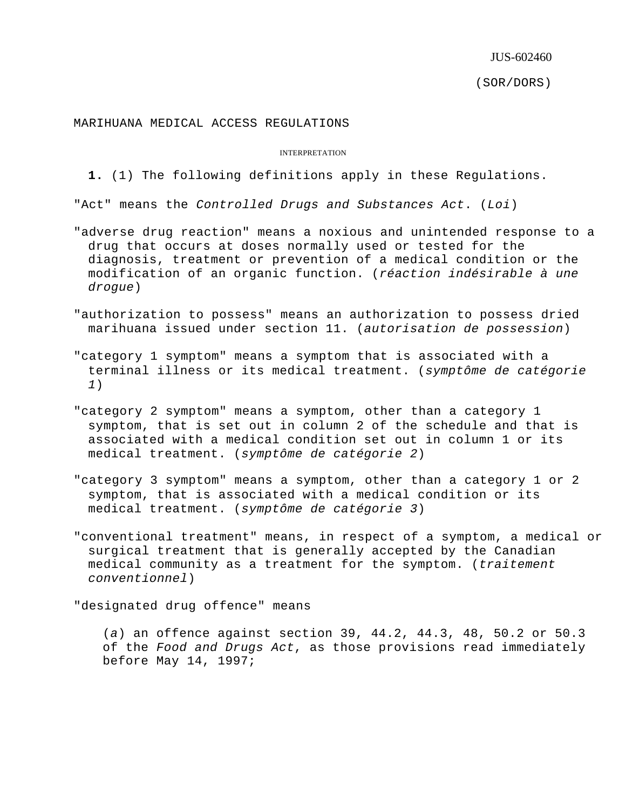(SOR/DORS)

# MARIHUANA MEDICAL ACCESS REGULATIONS

#### INTERPRETATION

## **1.** (1) The following definitions apply in these Regulations.

"Act" means the *Controlled Drugs and Substances Act*. (*Loi*)

- "adverse drug reaction" means a noxious and unintended response to a drug that occurs at doses normally used or tested for the diagnosis, treatment or prevention of a medical condition or the modification of an organic function. (*réaction indésirable à une drogue*)
- "authorization to possess" means an authorization to possess dried marihuana issued under section 11. (*autorisation de possession*)
- "category 1 symptom" means a symptom that is associated with a terminal illness or its medical treatment. (*symptôme de catégorie 1*)
- "category 2 symptom" means a symptom, other than a category 1 symptom, that is set out in column 2 of the schedule and that is associated with a medical condition set out in column 1 or its medical treatment. (*symptôme de catégorie 2*)
- "category 3 symptom" means a symptom, other than a category 1 or 2 symptom, that is associated with a medical condition or its medical treatment. (*symptôme de catégorie 3*)
- "conventional treatment" means, in respect of a symptom, a medical or surgical treatment that is generally accepted by the Canadian medical community as a treatment for the symptom. (*traitement conventionnel*)

"designated drug offence" means

(*a*) an offence against section 39, 44.2, 44.3, 48, 50.2 or 50.3 of the *Food and Drugs Act*, as those provisions read immediately before May 14, 1997;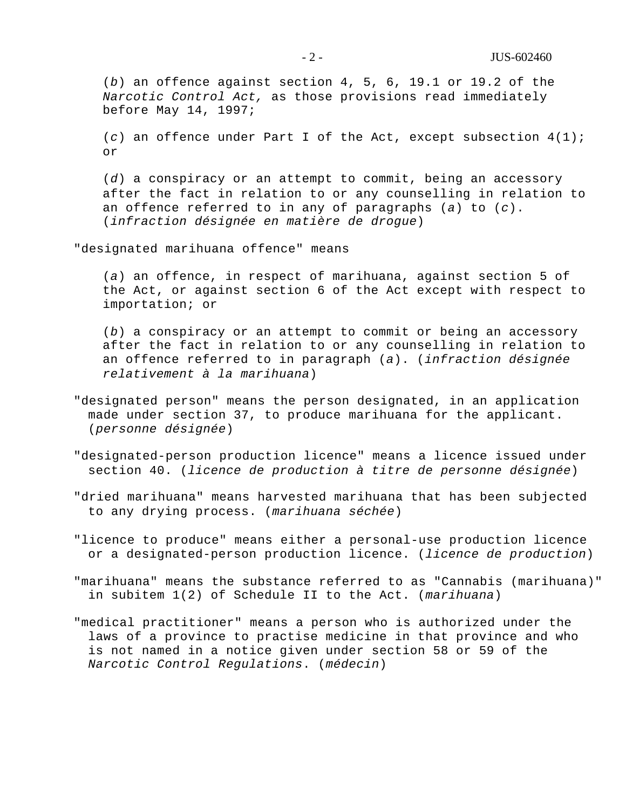(*b*) an offence against section 4, 5, 6, 19.1 or 19.2 of the *Narcotic Control Act,* as those provisions read immediately before May 14, 1997;

(*c*) an offence under Part I of the Act, except subsection 4(1); or

(*d*) a conspiracy or an attempt to commit, being an accessory after the fact in relation to or any counselling in relation to an offence referred to in any of paragraphs (*a*) to (*c*). (*infraction désignée en matière de drogue*)

"designated marihuana offence" means

(*a*) an offence, in respect of marihuana, against section 5 of the Act, or against section 6 of the Act except with respect to importation; or

(*b*) a conspiracy or an attempt to commit or being an accessory after the fact in relation to or any counselling in relation to an offence referred to in paragraph (*a*). (*infraction désignée relativement à la marihuana*)

- "designated person" means the person designated, in an application made under section 37, to produce marihuana for the applicant. (*personne désignée*)
- "designated-person production licence" means a licence issued under section 40. (*licence de production à titre de personne désignée*)
- "dried marihuana" means harvested marihuana that has been subjected to any drying process. (*marihuana séchée*)
- "licence to produce" means either a personal-use production licence or a designated-person production licence. (*licence de production*)
- "marihuana" means the substance referred to as "Cannabis (marihuana)" in subitem 1(2) of Schedule II to the Act. (*marihuana*)
- "medical practitioner" means a person who is authorized under the laws of a province to practise medicine in that province and who is not named in a notice given under section 58 or 59 of the *Narcotic Control Regulations*. (*médecin*)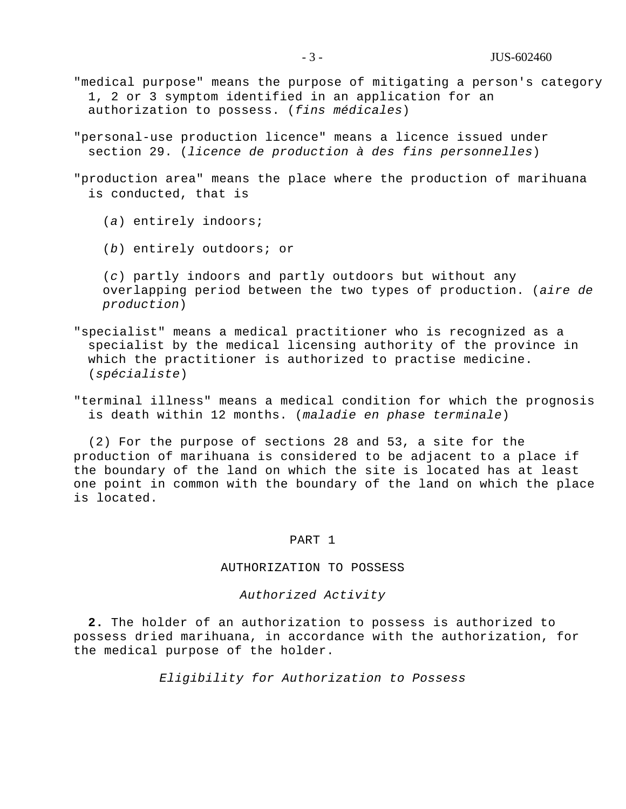- "medical purpose" means the purpose of mitigating a person's category 1, 2 or 3 symptom identified in an application for an authorization to possess. (*fins médicales*)
- "personal-use production licence" means a licence issued under section 29. (*licence de production à des fins personnelles*)
- "production area" means the place where the production of marihuana is conducted, that is
	- (*a*) entirely indoors;
	- (*b*) entirely outdoors; or

(*c*) partly indoors and partly outdoors but without any overlapping period between the two types of production. (*aire de production*)

- "specialist" means a medical practitioner who is recognized as a specialist by the medical licensing authority of the province in which the practitioner is authorized to practise medicine. (*spécialiste*)
- "terminal illness" means a medical condition for which the prognosis is death within 12 months. (*maladie en phase terminale*)

(2) For the purpose of sections 28 and 53, a site for the production of marihuana is considered to be adjacent to a place if the boundary of the land on which the site is located has at least one point in common with the boundary of the land on which the place is located.

#### PART 1

#### AUTHORIZATION TO POSSESS

## *Authorized Activity*

**2.** The holder of an authorization to possess is authorized to possess dried marihuana, in accordance with the authorization, for the medical purpose of the holder.

*Eligibility for Authorization to Possess*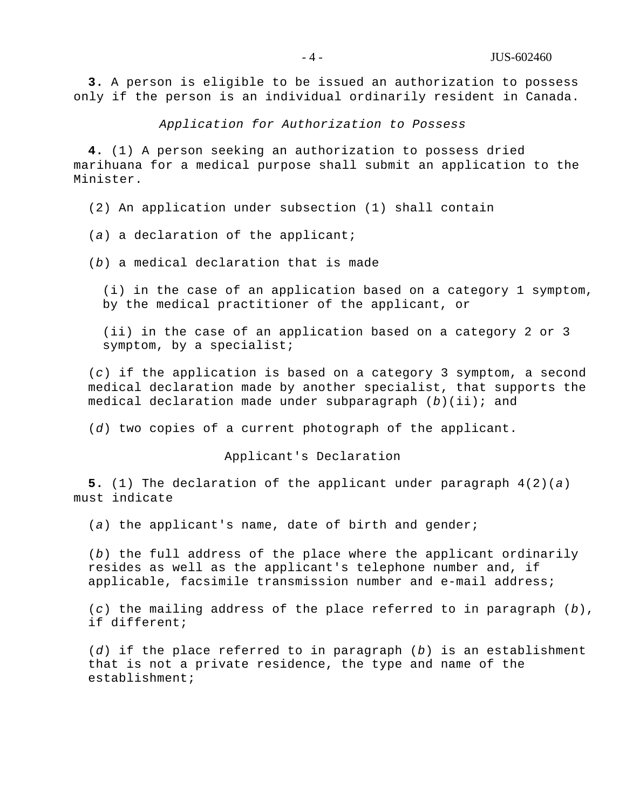**3.** A person is eligible to be issued an authorization to possess only if the person is an individual ordinarily resident in Canada.

*Application for Authorization to Possess*

**4.** (1) A person seeking an authorization to possess dried marihuana for a medical purpose shall submit an application to the Minister.

(2) An application under subsection (1) shall contain

(*a*) a declaration of the applicant;

(*b*) a medical declaration that is made

(i) in the case of an application based on a category 1 symptom, by the medical practitioner of the applicant, or

(ii) in the case of an application based on a category 2 or 3 symptom, by a specialist;

(*c*) if the application is based on a category 3 symptom, a second medical declaration made by another specialist, that supports the medical declaration made under subparagraph (*b*)(ii); and

(*d*) two copies of a current photograph of the applicant.

Applicant's Declaration

**5.** (1) The declaration of the applicant under paragraph 4(2)(*a*) must indicate

(*a*) the applicant's name, date of birth and gender;

(*b*) the full address of the place where the applicant ordinarily resides as well as the applicant's telephone number and, if applicable, facsimile transmission number and e-mail address;

(*c*) the mailing address of the place referred to in paragraph (*b*), if different;

(*d*) if the place referred to in paragraph (*b*) is an establishment that is not a private residence, the type and name of the establishment;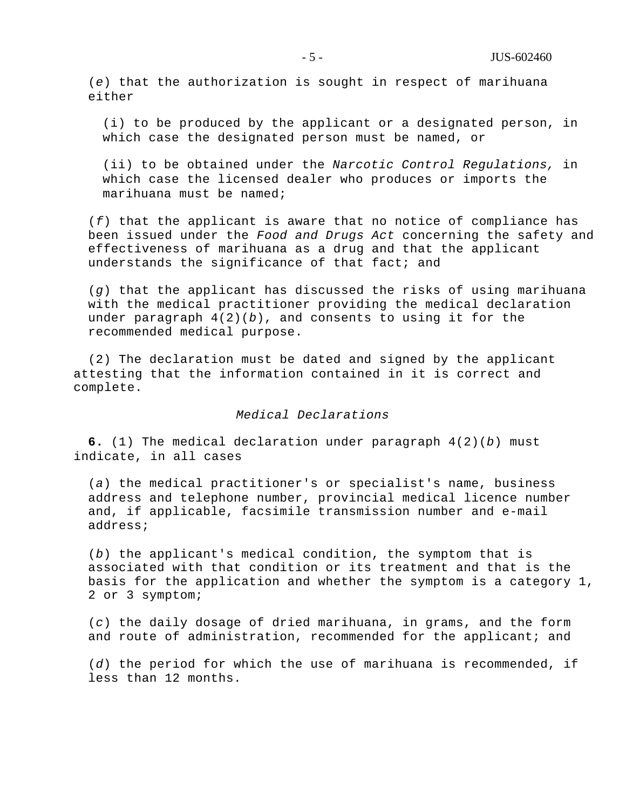(*e*) that the authorization is sought in respect of marihuana either

(i) to be produced by the applicant or a designated person, in which case the designated person must be named, or

(ii) to be obtained under the *Narcotic Control Regulations,* in which case the licensed dealer who produces or imports the marihuana must be named;

(*f*) that the applicant is aware that no notice of compliance has been issued under the *Food and Drugs Act* concerning the safety and effectiveness of marihuana as a drug and that the applicant understands the significance of that fact; and

(*g*) that the applicant has discussed the risks of using marihuana with the medical practitioner providing the medical declaration under paragraph 4(2)(*b*), and consents to using it for the recommended medical purpose.

(2) The declaration must be dated and signed by the applicant attesting that the information contained in it is correct and complete.

## *Medical Declarations*

**6.** (1) The medical declaration under paragraph 4(2)(*b*) must indicate, in all cases

(*a*) the medical practitioner's or specialist's name, business address and telephone number, provincial medical licence number and, if applicable, facsimile transmission number and e-mail address;

(*b*) the applicant's medical condition, the symptom that is associated with that condition or its treatment and that is the basis for the application and whether the symptom is a category 1, 2 or 3 symptom;

(*c*) the daily dosage of dried marihuana, in grams, and the form and route of administration, recommended for the applicant; and

(*d*) the period for which the use of marihuana is recommended, if less than 12 months.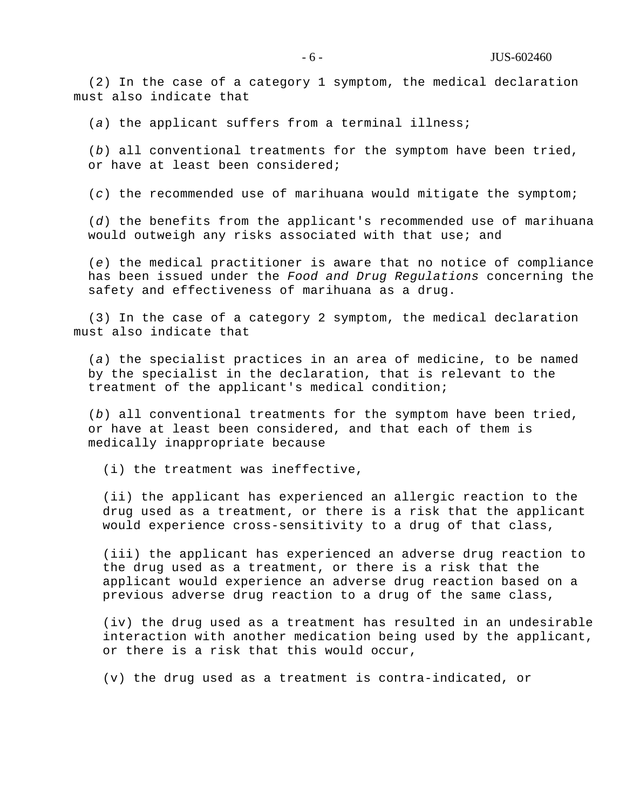(2) In the case of a category 1 symptom, the medical declaration must also indicate that

(*a*) the applicant suffers from a terminal illness;

(*b*) all conventional treatments for the symptom have been tried, or have at least been considered;

(*c*) the recommended use of marihuana would mitigate the symptom;

(*d*) the benefits from the applicant's recommended use of marihuana would outweigh any risks associated with that use; and

(*e*) the medical practitioner is aware that no notice of compliance has been issued under the *Food and Drug Regulations* concerning the safety and effectiveness of marihuana as a drug.

(3) In the case of a category 2 symptom, the medical declaration must also indicate that

(*a*) the specialist practices in an area of medicine, to be named by the specialist in the declaration, that is relevant to the treatment of the applicant's medical condition;

(*b*) all conventional treatments for the symptom have been tried, or have at least been considered, and that each of them is medically inappropriate because

(i) the treatment was ineffective,

(ii) the applicant has experienced an allergic reaction to the drug used as a treatment, or there is a risk that the applicant would experience cross-sensitivity to a drug of that class,

(iii) the applicant has experienced an adverse drug reaction to the drug used as a treatment, or there is a risk that the applicant would experience an adverse drug reaction based on a previous adverse drug reaction to a drug of the same class,

(iv) the drug used as a treatment has resulted in an undesirable interaction with another medication being used by the applicant, or there is a risk that this would occur,

(v) the drug used as a treatment is contra-indicated, or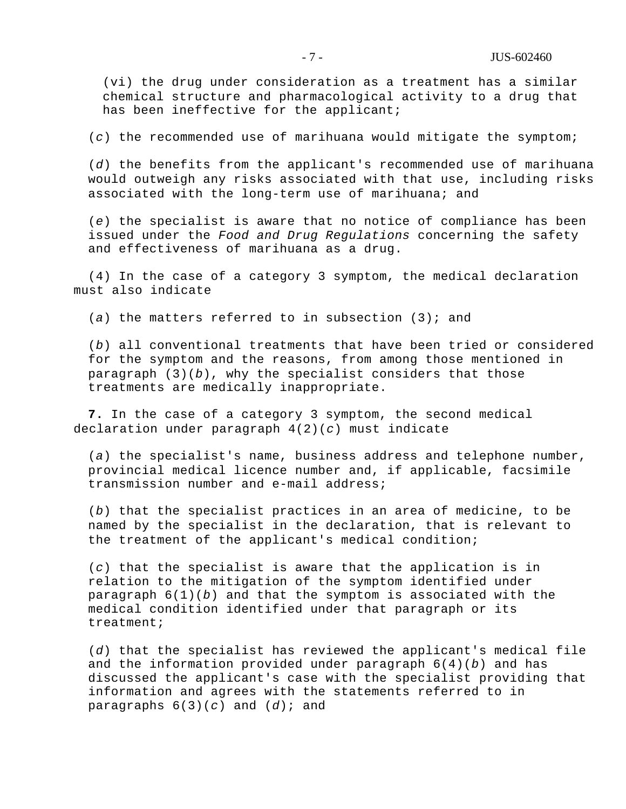(vi) the drug under consideration as a treatment has a similar chemical structure and pharmacological activity to a drug that has been ineffective for the applicant;

(*c*) the recommended use of marihuana would mitigate the symptom;

(*d*) the benefits from the applicant's recommended use of marihuana would outweigh any risks associated with that use, including risks associated with the long-term use of marihuana; and

(*e*) the specialist is aware that no notice of compliance has been issued under the *Food and Drug Regulations* concerning the safety and effectiveness of marihuana as a drug.

(4) In the case of a category 3 symptom, the medical declaration must also indicate

(*a*) the matters referred to in subsection (3); and

(*b*) all conventional treatments that have been tried or considered for the symptom and the reasons, from among those mentioned in paragraph (3)(*b*), why the specialist considers that those treatments are medically inappropriate.

**7.** In the case of a category 3 symptom, the second medical declaration under paragraph 4(2)(*c*) must indicate

(*a*) the specialist's name, business address and telephone number, provincial medical licence number and, if applicable, facsimile transmission number and e-mail address;

(*b*) that the specialist practices in an area of medicine, to be named by the specialist in the declaration, that is relevant to the treatment of the applicant's medical condition;

(*c*) that the specialist is aware that the application is in relation to the mitigation of the symptom identified under paragraph 6(1)(*b*) and that the symptom is associated with the medical condition identified under that paragraph or its treatment;

(*d*) that the specialist has reviewed the applicant's medical file and the information provided under paragraph 6(4)(*b*) and has discussed the applicant's case with the specialist providing that information and agrees with the statements referred to in paragraphs 6(3)(*c*) and (*d*); and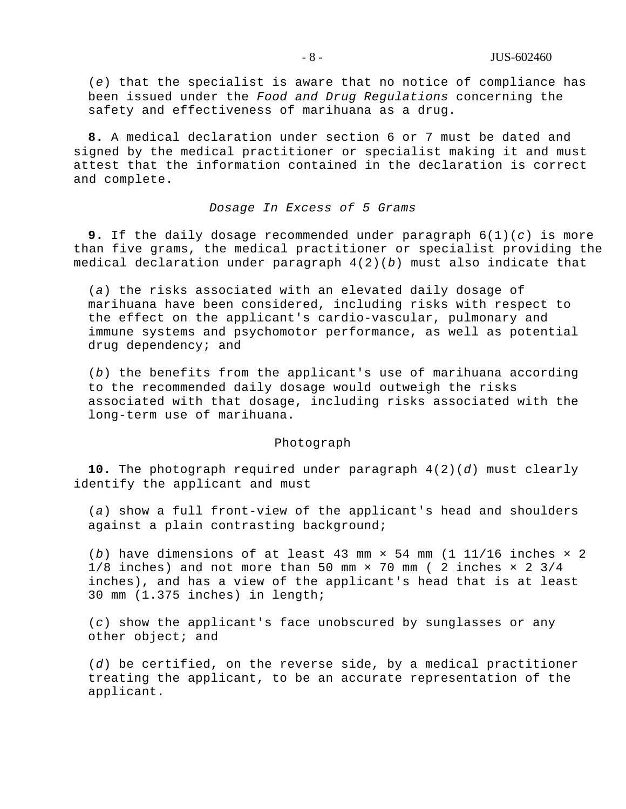(*e*) that the specialist is aware that no notice of compliance has been issued under the *Food and Drug Regulations* concerning the safety and effectiveness of marihuana as a drug.

**8.** A medical declaration under section 6 or 7 must be dated and signed by the medical practitioner or specialist making it and must attest that the information contained in the declaration is correct and complete.

## *Dosage In Excess of 5 Grams*

**9.** If the daily dosage recommended under paragraph 6(1)(*c*) is more than five grams, the medical practitioner or specialist providing the medical declaration under paragraph 4(2)(*b*) must also indicate that

(*a*) the risks associated with an elevated daily dosage of marihuana have been considered, including risks with respect to the effect on the applicant's cardio-vascular, pulmonary and immune systems and psychomotor performance, as well as potential drug dependency; and

(*b*) the benefits from the applicant's use of marihuana according to the recommended daily dosage would outweigh the risks associated with that dosage, including risks associated with the long-term use of marihuana.

#### Photograph

**10.** The photograph required under paragraph 4(2)(*d*) must clearly identify the applicant and must

(*a*) show a full front-view of the applicant's head and shoulders against a plain contrasting background;

(*b*) have dimensions of at least 43 mm  $\times$  54 mm (1 11/16 inches  $\times$  2 1/8 inches) and not more than 50 mm  $\times$  70 mm ( 2 inches  $\times$  2 3/4 inches), and has a view of the applicant's head that is at least 30 mm (1.375 inches) in length;

(*c*) show the applicant's face unobscured by sunglasses or any other object; and

(*d*) be certified, on the reverse side, by a medical practitioner treating the applicant, to be an accurate representation of the applicant.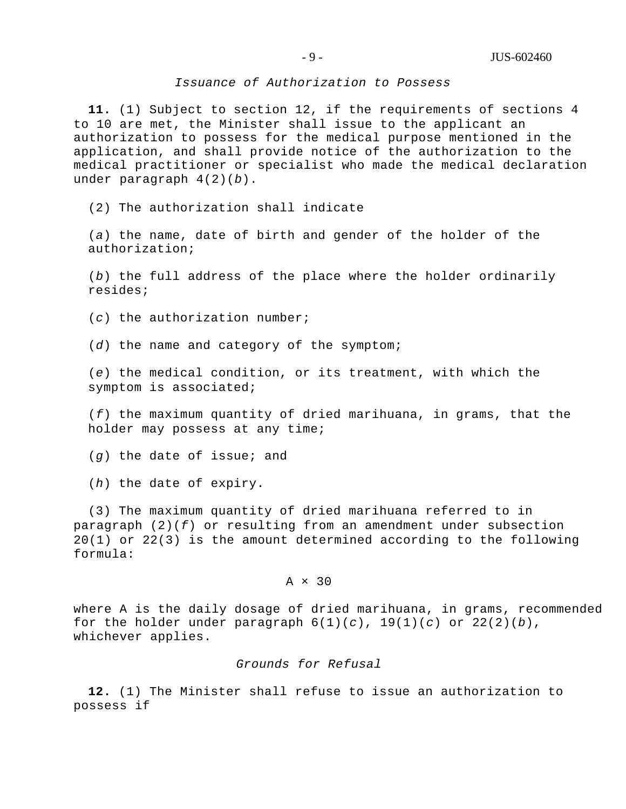#### *Issuance of Authorization to Possess*

**11.** (1) Subject to section 12, if the requirements of sections 4 to 10 are met, the Minister shall issue to the applicant an authorization to possess for the medical purpose mentioned in the application, and shall provide notice of the authorization to the medical practitioner or specialist who made the medical declaration under paragraph 4(2)(*b*).

(2) The authorization shall indicate

(*a*) the name, date of birth and gender of the holder of the authorization;

(*b*) the full address of the place where the holder ordinarily resides;

(*c*) the authorization number;

(*d*) the name and category of the symptom;

(*e*) the medical condition, or its treatment, with which the symptom is associated;

(*f*) the maximum quantity of dried marihuana, in grams, that the holder may possess at any time;

(*g*) the date of issue; and

(*h*) the date of expiry.

(3) The maximum quantity of dried marihuana referred to in paragraph (2)(*f*) or resulting from an amendment under subsection 20(1) or 22(3) is the amount determined according to the following formula:

## $A \times 30$

where A is the daily dosage of dried marihuana, in grams, recommended for the holder under paragraph 6(1)(*c*), 19(1)(*c*) or 22(2)(*b*), whichever applies.

## *Grounds for Refusal*

**12.** (1) The Minister shall refuse to issue an authorization to possess if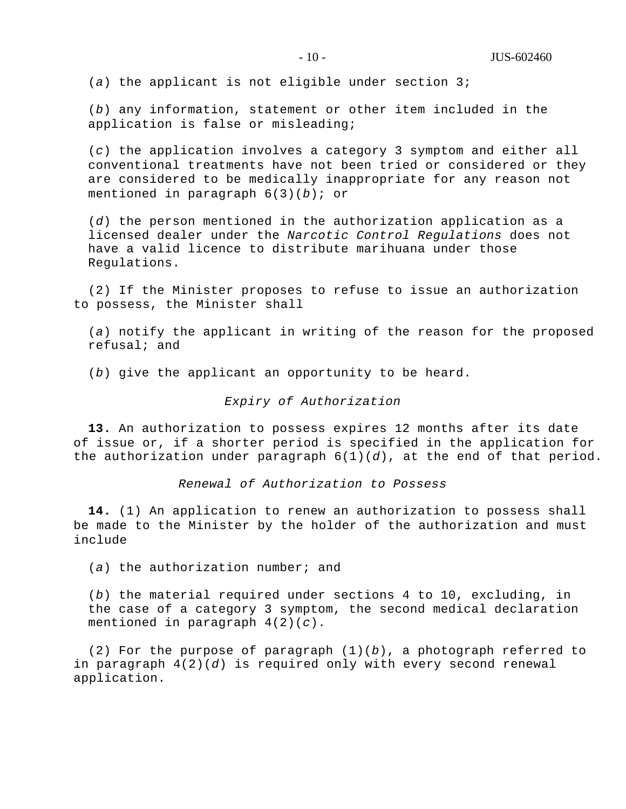(*a*) the applicant is not eligible under section 3;

(*b*) any information, statement or other item included in the application is false or misleading;

(*c*) the application involves a category 3 symptom and either all conventional treatments have not been tried or considered or they are considered to be medically inappropriate for any reason not mentioned in paragraph 6(3)(*b*); or

(*d*) the person mentioned in the authorization application as a licensed dealer under the *Narcotic Control Regulations* does not have a valid licence to distribute marihuana under those Regulations.

(2) If the Minister proposes to refuse to issue an authorization to possess, the Minister shall

(*a*) notify the applicant in writing of the reason for the proposed refusal; and

(*b*) give the applicant an opportunity to be heard.

#### *Expiry of Authorization*

**13.** An authorization to possess expires 12 months after its date of issue or, if a shorter period is specified in the application for the authorization under paragraph  $6(1)(d)$ , at the end of that period.

*Renewal of Authorization to Possess*

**14.** (1) An application to renew an authorization to possess shall be made to the Minister by the holder of the authorization and must include

(*a*) the authorization number; and

(*b*) the material required under sections 4 to 10, excluding, in the case of a category 3 symptom, the second medical declaration mentioned in paragraph 4(2)(*c*).

(2) For the purpose of paragraph (1)(*b*), a photograph referred to in paragraph 4(2)(*d*) is required only with every second renewal application.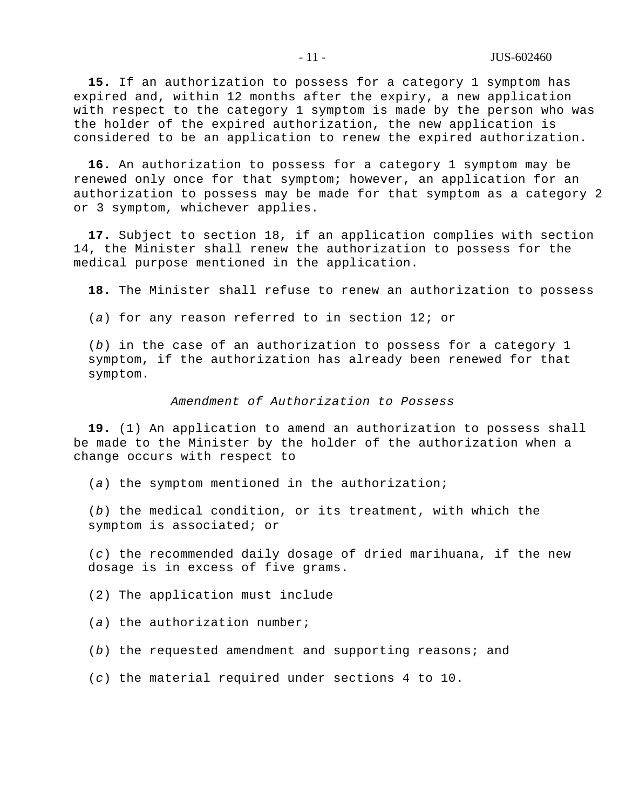**15.** If an authorization to possess for a category 1 symptom has expired and, within 12 months after the expiry, a new application with respect to the category 1 symptom is made by the person who was the holder of the expired authorization, the new application is considered to be an application to renew the expired authorization.

**16.** An authorization to possess for a category 1 symptom may be renewed only once for that symptom; however, an application for an authorization to possess may be made for that symptom as a category 2 or 3 symptom, whichever applies.

**17.** Subject to section 18, if an application complies with section 14, the Minister shall renew the authorization to possess for the medical purpose mentioned in the application.

**18.** The Minister shall refuse to renew an authorization to possess

(*a*) for any reason referred to in section 12; or

(*b*) in the case of an authorization to possess for a category 1 symptom, if the authorization has already been renewed for that symptom.

#### *Amendment of Authorization to Possess*

**19.** (1) An application to amend an authorization to possess shall be made to the Minister by the holder of the authorization when a change occurs with respect to

(*a*) the symptom mentioned in the authorization;

(*b*) the medical condition, or its treatment, with which the symptom is associated; or

(*c*) the recommended daily dosage of dried marihuana, if the new dosage is in excess of five grams.

(2) The application must include

(*a*) the authorization number;

(*b*) the requested amendment and supporting reasons; and

(*c*) the material required under sections 4 to 10.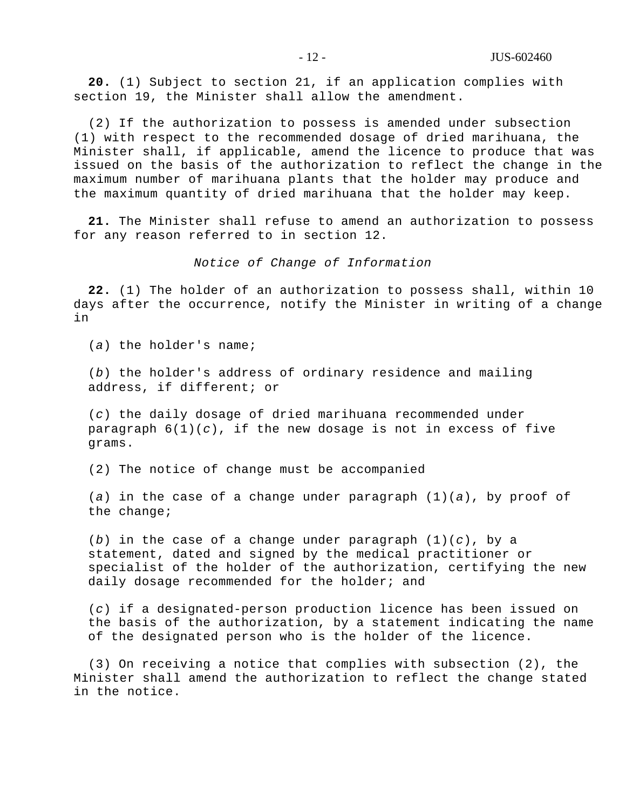**20.** (1) Subject to section 21, if an application complies with section 19, the Minister shall allow the amendment.

(2) If the authorization to possess is amended under subsection (1) with respect to the recommended dosage of dried marihuana, the Minister shall, if applicable, amend the licence to produce that was issued on the basis of the authorization to reflect the change in the maximum number of marihuana plants that the holder may produce and the maximum quantity of dried marihuana that the holder may keep.

**21.** The Minister shall refuse to amend an authorization to possess for any reason referred to in section 12.

#### *Notice of Change of Information*

**22.** (1) The holder of an authorization to possess shall, within 10 days after the occurrence, notify the Minister in writing of a change in

(*a*) the holder's name;

(*b*) the holder's address of ordinary residence and mailing address, if different; or

(*c*) the daily dosage of dried marihuana recommended under paragraph  $6(1)(c)$ , if the new dosage is not in excess of five grams.

(2) The notice of change must be accompanied

(*a*) in the case of a change under paragraph (1)(*a*), by proof of the change;

(*b*) in the case of a change under paragraph (1)(*c*), by a statement, dated and signed by the medical practitioner or specialist of the holder of the authorization, certifying the new daily dosage recommended for the holder; and

(*c*) if a designated-person production licence has been issued on the basis of the authorization, by a statement indicating the name of the designated person who is the holder of the licence.

(3) On receiving a notice that complies with subsection (2), the Minister shall amend the authorization to reflect the change stated in the notice.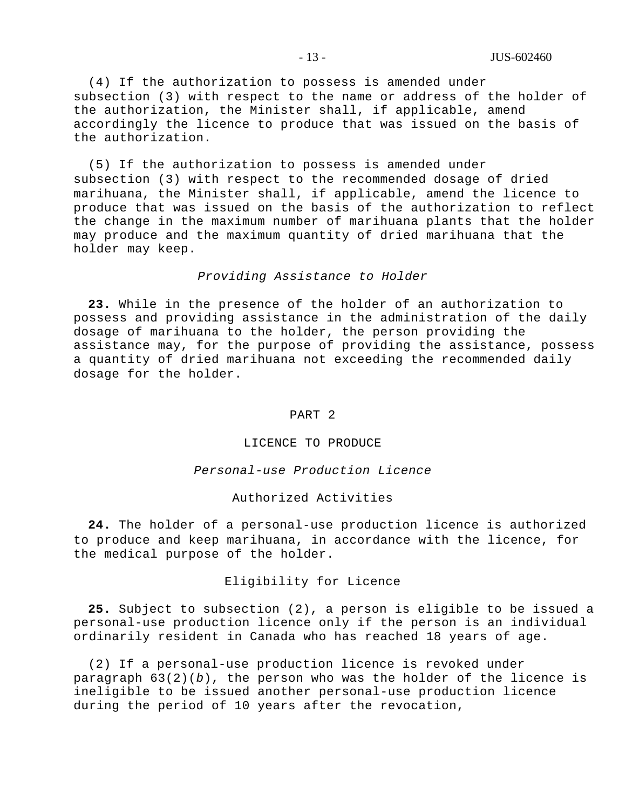(4) If the authorization to possess is amended under subsection (3) with respect to the name or address of the holder of the authorization, the Minister shall, if applicable, amend accordingly the licence to produce that was issued on the basis of the authorization.

(5) If the authorization to possess is amended under subsection (3) with respect to the recommended dosage of dried marihuana, the Minister shall, if applicable, amend the licence to produce that was issued on the basis of the authorization to reflect the change in the maximum number of marihuana plants that the holder may produce and the maximum quantity of dried marihuana that the holder may keep.

#### *Providing Assistance to Holder*

**23.** While in the presence of the holder of an authorization to possess and providing assistance in the administration of the daily dosage of marihuana to the holder, the person providing the assistance may, for the purpose of providing the assistance, possess a quantity of dried marihuana not exceeding the recommended daily dosage for the holder.

#### PART 2

## LICENCE TO PRODUCE

## *Personal-use Production Licence*

#### Authorized Activities

**24.** The holder of a personal-use production licence is authorized to produce and keep marihuana, in accordance with the licence, for the medical purpose of the holder.

#### Eligibility for Licence

**25.** Subject to subsection (2), a person is eligible to be issued a personal-use production licence only if the person is an individual ordinarily resident in Canada who has reached 18 years of age.

(2) If a personal-use production licence is revoked under paragraph 63(2)(*b*), the person who was the holder of the licence is ineligible to be issued another personal-use production licence during the period of 10 years after the revocation,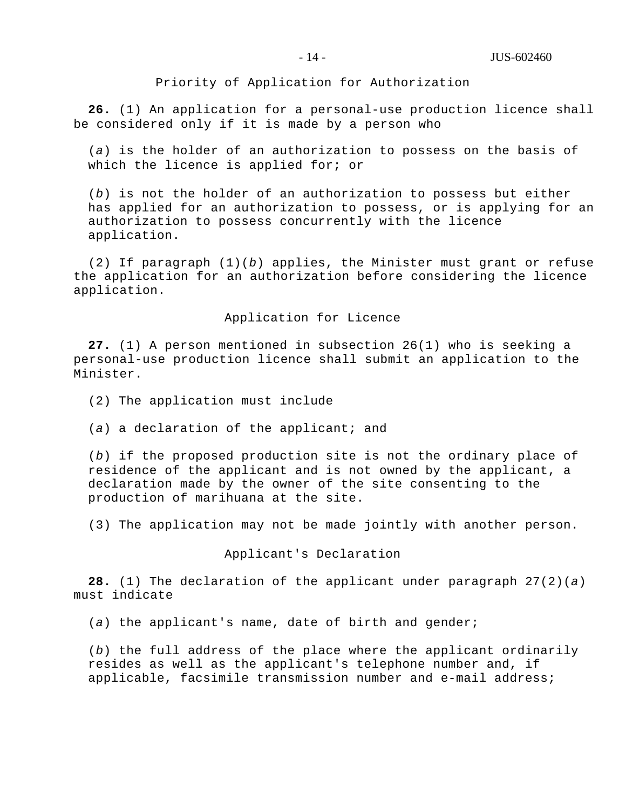Priority of Application for Authorization

**26.** (1) An application for a personal-use production licence shall be considered only if it is made by a person who

(*a*) is the holder of an authorization to possess on the basis of which the licence is applied for; or

(*b*) is not the holder of an authorization to possess but either has applied for an authorization to possess, or is applying for an authorization to possess concurrently with the licence application.

(2) If paragraph (1)(*b*) applies, the Minister must grant or refuse the application for an authorization before considering the licence application.

## Application for Licence

**27.** (1) A person mentioned in subsection 26(1) who is seeking a personal-use production licence shall submit an application to the Minister.

(2) The application must include

(*a*) a declaration of the applicant; and

(*b*) if the proposed production site is not the ordinary place of residence of the applicant and is not owned by the applicant, a declaration made by the owner of the site consenting to the production of marihuana at the site.

(3) The application may not be made jointly with another person.

Applicant's Declaration

**28.** (1) The declaration of the applicant under paragraph 27(2)(*a*) must indicate

(*a*) the applicant's name, date of birth and gender;

(*b*) the full address of the place where the applicant ordinarily resides as well as the applicant's telephone number and, if applicable, facsimile transmission number and e-mail address;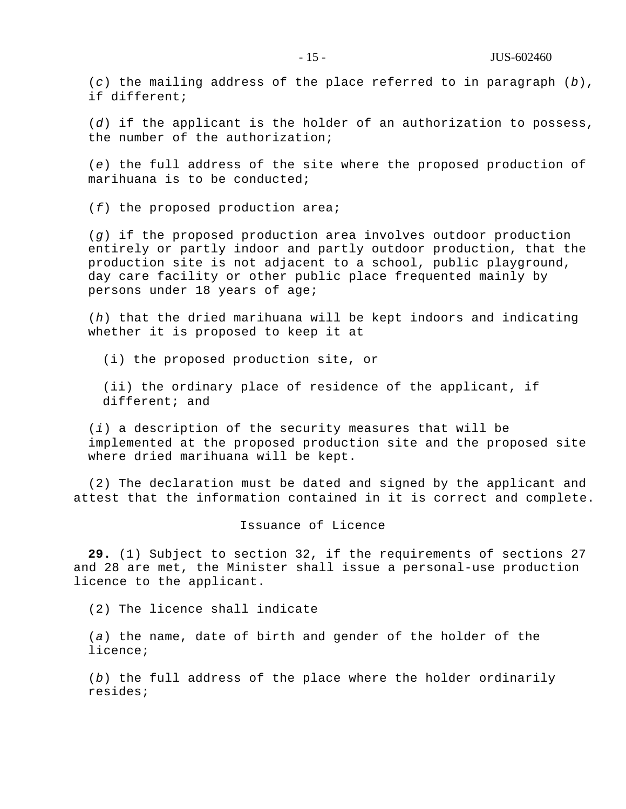(*c*) the mailing address of the place referred to in paragraph (*b*), if different;

(*d*) if the applicant is the holder of an authorization to possess, the number of the authorization;

(*e*) the full address of the site where the proposed production of marihuana is to be conducted;

(*f*) the proposed production area;

(*g*) if the proposed production area involves outdoor production entirely or partly indoor and partly outdoor production, that the production site is not adjacent to a school, public playground, day care facility or other public place frequented mainly by persons under 18 years of age;

(*h*) that the dried marihuana will be kept indoors and indicating whether it is proposed to keep it at

(i) the proposed production site, or

(ii) the ordinary place of residence of the applicant, if different; and

(*i*) a description of the security measures that will be implemented at the proposed production site and the proposed site where dried marihuana will be kept.

(2) The declaration must be dated and signed by the applicant and attest that the information contained in it is correct and complete.

#### Issuance of Licence

**29.** (1) Subject to section 32, if the requirements of sections 27 and 28 are met, the Minister shall issue a personal-use production licence to the applicant.

(2) The licence shall indicate

(*a*) the name, date of birth and gender of the holder of the licence;

(*b*) the full address of the place where the holder ordinarily resides;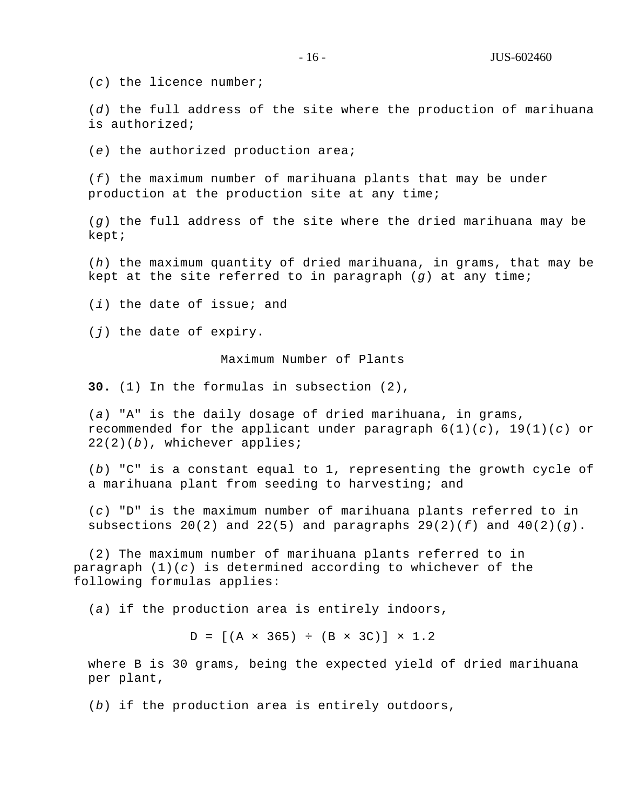(*c*) the licence number;

(*d*) the full address of the site where the production of marihuana is authorized;

(*e*) the authorized production area;

(*f*) the maximum number of marihuana plants that may be under production at the production site at any time;

(*g*) the full address of the site where the dried marihuana may be kept;

(*h*) the maximum quantity of dried marihuana, in grams, that may be kept at the site referred to in paragraph (*g*) at any time;

(*i*) the date of issue; and

(*j*) the date of expiry.

Maximum Number of Plants

**30.** (1) In the formulas in subsection (2),

(*a*) "A" is the daily dosage of dried marihuana, in grams, recommended for the applicant under paragraph  $6(1)(c)$ ,  $19(1)(c)$  or 22(2)(*b*), whichever applies;

(*b*) "C" is a constant equal to 1, representing the growth cycle of a marihuana plant from seeding to harvesting; and

(*c*) "D" is the maximum number of marihuana plants referred to in subsections  $20(2)$  and  $22(5)$  and paragraphs  $29(2)(f)$  and  $40(2)(g)$ .

(2) The maximum number of marihuana plants referred to in paragraph (1)(*c*) is determined according to whichever of the following formulas applies:

(*a*) if the production area is entirely indoors,

 $D = [(A \times 365) \div (B \times 3C)] \times 1.2$ 

where B is 30 grams, being the expected yield of dried marihuana per plant,

(*b*) if the production area is entirely outdoors,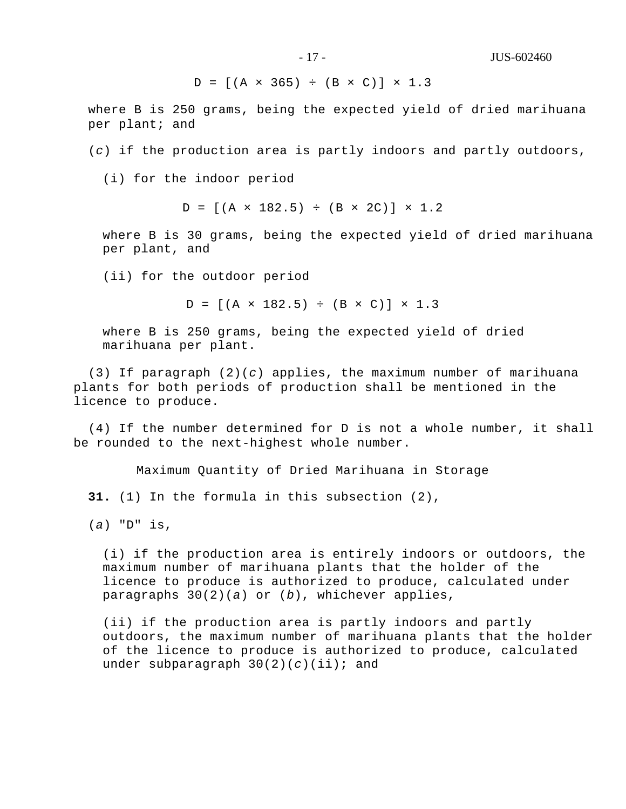$D = [(A \times 365) ÷ (B \times C)] \times 1.3$ 

where B is 250 grams, being the expected yield of dried marihuana per plant; and

(*c*) if the production area is partly indoors and partly outdoors,

(i) for the indoor period

 $D = [(A \times 182.5) \div (B \times 2C)] \times 1.2$ 

where B is 30 grams, being the expected yield of dried marihuana per plant, and

(ii) for the outdoor period

 $D = [(A \times 182.5) \div (B \times C)] \times 1.3$ 

where B is 250 grams, being the expected yield of dried marihuana per plant.

(3) If paragraph (2)(*c*) applies, the maximum number of marihuana plants for both periods of production shall be mentioned in the licence to produce.

(4) If the number determined for D is not a whole number, it shall be rounded to the next-highest whole number.

Maximum Quantity of Dried Marihuana in Storage

**31.** (1) In the formula in this subsection (2),

(*a*) "D" is,

(i) if the production area is entirely indoors or outdoors, the maximum number of marihuana plants that the holder of the licence to produce is authorized to produce, calculated under paragraphs 30(2)(*a*) or (*b*), whichever applies,

(ii) if the production area is partly indoors and partly outdoors, the maximum number of marihuana plants that the holder of the licence to produce is authorized to produce, calculated under subparagraph 30(2)(*c*)(ii); and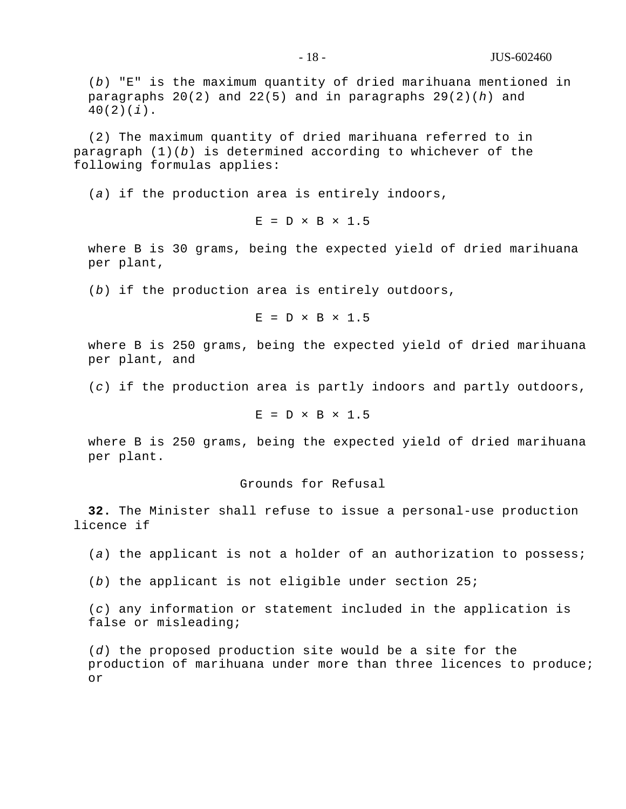(*b*) "E" is the maximum quantity of dried marihuana mentioned in paragraphs 20(2) and 22(5) and in paragraphs 29(2)(*h*) and 40(2)(*i*).

(2) The maximum quantity of dried marihuana referred to in paragraph (1)(*b*) is determined according to whichever of the following formulas applies:

(*a*) if the production area is entirely indoors,

 $E = D \times B \times 1.5$ 

where B is 30 grams, being the expected yield of dried marihuana per plant,

(*b*) if the production area is entirely outdoors,

 $E = D \times B \times 1.5$ 

where B is 250 grams, being the expected yield of dried marihuana per plant, and

(*c*) if the production area is partly indoors and partly outdoors,

 $E = D \times B \times 1.5$ 

where B is 250 grams, being the expected yield of dried marihuana per plant.

# Grounds for Refusal

**32.** The Minister shall refuse to issue a personal-use production licence if

(*a*) the applicant is not a holder of an authorization to possess;

(*b*) the applicant is not eligible under section 25;

(*c*) any information or statement included in the application is false or misleading;

(*d*) the proposed production site would be a site for the production of marihuana under more than three licences to produce; or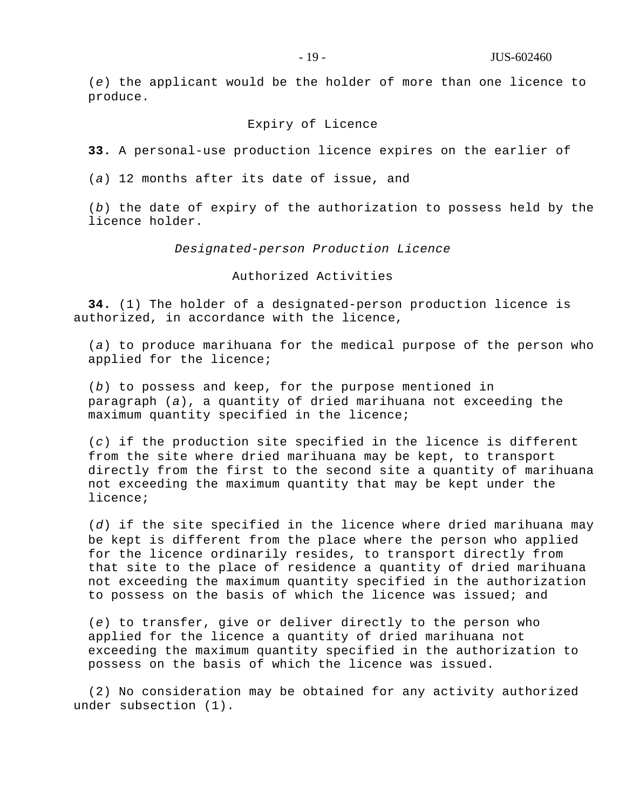(*e*) the applicant would be the holder of more than one licence to produce.

## Expiry of Licence

**33.** A personal-use production licence expires on the earlier of

(*a*) 12 months after its date of issue, and

(*b*) the date of expiry of the authorization to possess held by the licence holder.

## *Designated-person Production Licence*

Authorized Activities

**34.** (1) The holder of a designated-person production licence is authorized, in accordance with the licence,

(*a*) to produce marihuana for the medical purpose of the person who applied for the licence;

(*b*) to possess and keep, for the purpose mentioned in paragraph (*a*), a quantity of dried marihuana not exceeding the maximum quantity specified in the licence;

(*c*) if the production site specified in the licence is different from the site where dried marihuana may be kept, to transport directly from the first to the second site a quantity of marihuana not exceeding the maximum quantity that may be kept under the licence;

(*d*) if the site specified in the licence where dried marihuana may be kept is different from the place where the person who applied for the licence ordinarily resides, to transport directly from that site to the place of residence a quantity of dried marihuana not exceeding the maximum quantity specified in the authorization to possess on the basis of which the licence was issued; and

(*e*) to transfer, give or deliver directly to the person who applied for the licence a quantity of dried marihuana not exceeding the maximum quantity specified in the authorization to possess on the basis of which the licence was issued.

(2) No consideration may be obtained for any activity authorized under subsection (1).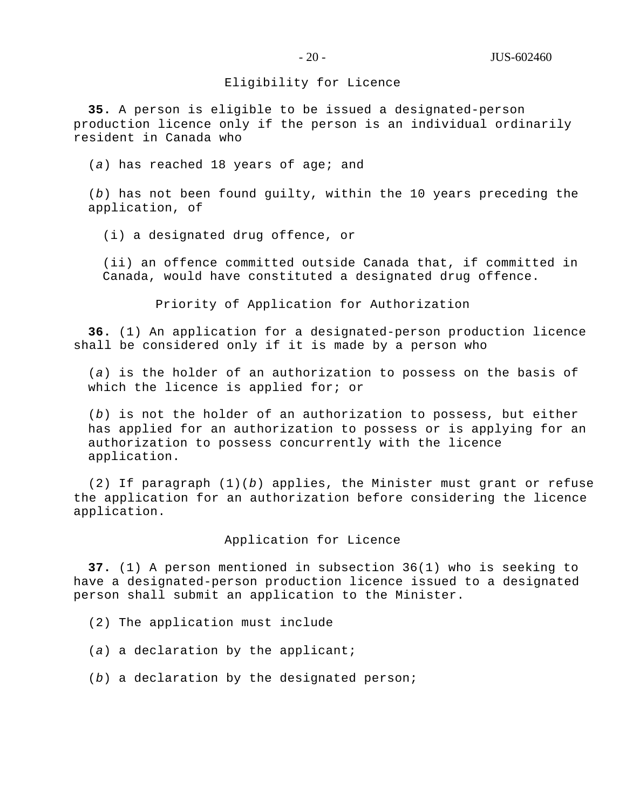## Eligibility for Licence

**35.** A person is eligible to be issued a designated-person production licence only if the person is an individual ordinarily resident in Canada who

(*a*) has reached 18 years of age; and

(*b*) has not been found guilty, within the 10 years preceding the application, of

(i) a designated drug offence, or

(ii) an offence committed outside Canada that, if committed in Canada, would have constituted a designated drug offence.

Priority of Application for Authorization

**36.** (1) An application for a designated-person production licence shall be considered only if it is made by a person who

(*a*) is the holder of an authorization to possess on the basis of which the licence is applied for; or

(*b*) is not the holder of an authorization to possess, but either has applied for an authorization to possess or is applying for an authorization to possess concurrently with the licence application.

(2) If paragraph (1)(*b*) applies, the Minister must grant or refuse the application for an authorization before considering the licence application.

## Application for Licence

**37.** (1) A person mentioned in subsection 36(1) who is seeking to have a designated-person production licence issued to a designated person shall submit an application to the Minister.

- (2) The application must include
- (*a*) a declaration by the applicant;
- (*b*) a declaration by the designated person;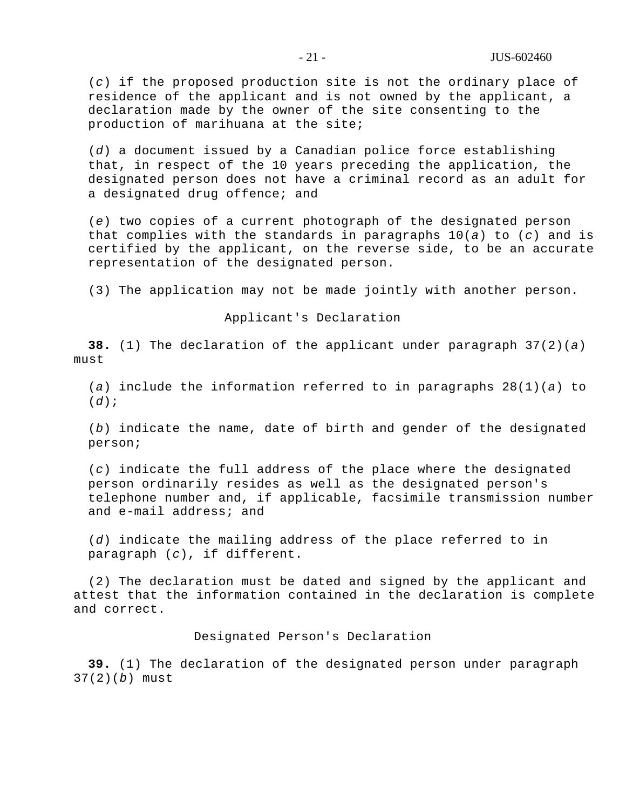(*c*) if the proposed production site is not the ordinary place of residence of the applicant and is not owned by the applicant, a declaration made by the owner of the site consenting to the production of marihuana at the site;

(*d*) a document issued by a Canadian police force establishing that, in respect of the 10 years preceding the application, the designated person does not have a criminal record as an adult for a designated drug offence; and

(*e*) two copies of a current photograph of the designated person that complies with the standards in paragraphs 10(*a*) to (*c*) and is certified by the applicant, on the reverse side, to be an accurate representation of the designated person.

(3) The application may not be made jointly with another person.

Applicant's Declaration

**38.** (1) The declaration of the applicant under paragraph 37(2)(*a*) must

(*a*) include the information referred to in paragraphs 28(1)(*a*) to (*d*);

(*b*) indicate the name, date of birth and gender of the designated person;

(*c*) indicate the full address of the place where the designated person ordinarily resides as well as the designated person's telephone number and, if applicable, facsimile transmission number and e-mail address; and

(*d*) indicate the mailing address of the place referred to in paragraph (*c*), if different.

(2) The declaration must be dated and signed by the applicant and attest that the information contained in the declaration is complete and correct.

Designated Person's Declaration

**39.** (1) The declaration of the designated person under paragraph 37(2)(*b*) must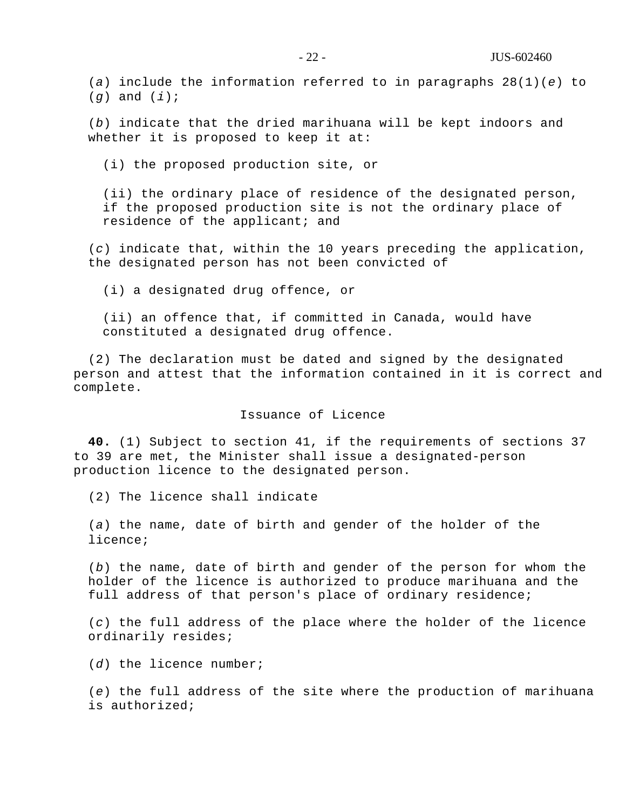(*a*) include the information referred to in paragraphs 28(1)(*e*) to (*g*) and (*i*);

(*b*) indicate that the dried marihuana will be kept indoors and whether it is proposed to keep it at:

(i) the proposed production site, or

(ii) the ordinary place of residence of the designated person, if the proposed production site is not the ordinary place of residence of the applicant; and

(*c*) indicate that, within the 10 years preceding the application, the designated person has not been convicted of

(i) a designated drug offence, or

(ii) an offence that, if committed in Canada, would have constituted a designated drug offence.

(2) The declaration must be dated and signed by the designated person and attest that the information contained in it is correct and complete.

## Issuance of Licence

**40.** (1) Subject to section 41, if the requirements of sections 37 to 39 are met, the Minister shall issue a designated-person production licence to the designated person.

(2) The licence shall indicate

(*a*) the name, date of birth and gender of the holder of the licence;

(*b*) the name, date of birth and gender of the person for whom the holder of the licence is authorized to produce marihuana and the full address of that person's place of ordinary residence;

(*c*) the full address of the place where the holder of the licence ordinarily resides;

(*d*) the licence number;

(*e*) the full address of the site where the production of marihuana is authorized;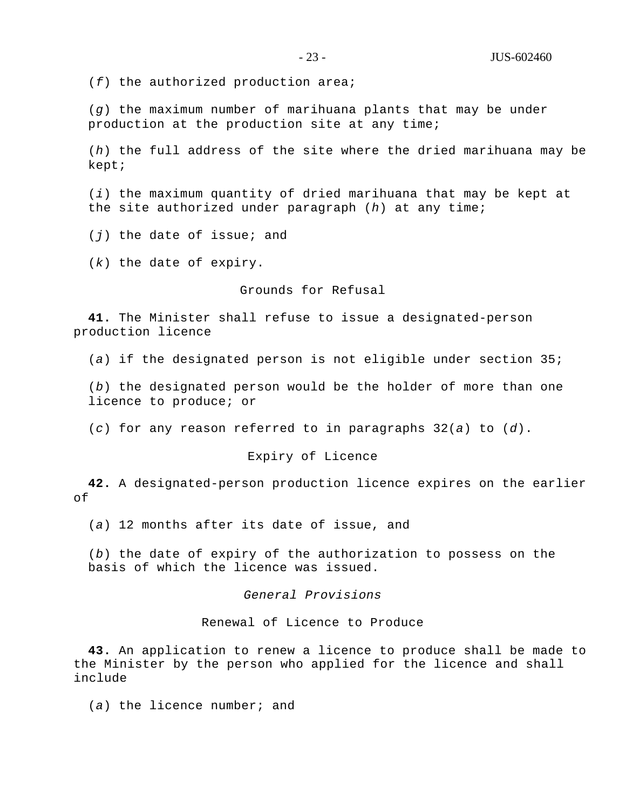(*f*) the authorized production area;

(*g*) the maximum number of marihuana plants that may be under production at the production site at any time;

(*h*) the full address of the site where the dried marihuana may be kept;

(*i*) the maximum quantity of dried marihuana that may be kept at the site authorized under paragraph (*h*) at any time;

(*j*) the date of issue; and

(*k*) the date of expiry.

## Grounds for Refusal

**41.** The Minister shall refuse to issue a designated-person production licence

(*a*) if the designated person is not eligible under section 35;

(*b*) the designated person would be the holder of more than one licence to produce; or

(*c*) for any reason referred to in paragraphs 32(*a*) to (*d*).

## Expiry of Licence

**42.** A designated-person production licence expires on the earlier of

(*a*) 12 months after its date of issue, and

(*b*) the date of expiry of the authorization to possess on the basis of which the licence was issued.

## *General Provisions*

Renewal of Licence to Produce

**43.** An application to renew a licence to produce shall be made to the Minister by the person who applied for the licence and shall include

(*a*) the licence number; and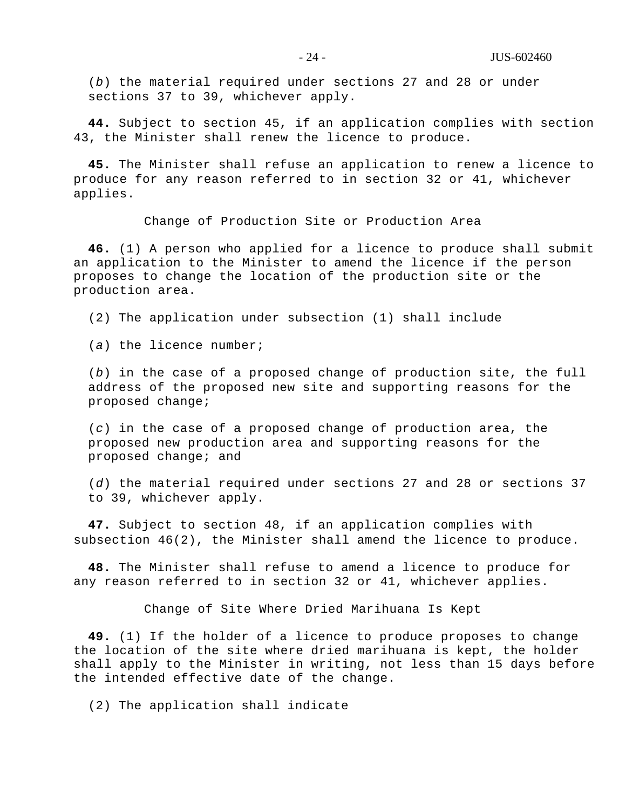(*b*) the material required under sections 27 and 28 or under sections 37 to 39, whichever apply.

**44.** Subject to section 45, if an application complies with section 43, the Minister shall renew the licence to produce.

**45.** The Minister shall refuse an application to renew a licence to produce for any reason referred to in section 32 or 41, whichever applies.

Change of Production Site or Production Area

**46.** (1) A person who applied for a licence to produce shall submit an application to the Minister to amend the licence if the person proposes to change the location of the production site or the production area.

(2) The application under subsection (1) shall include

(*a*) the licence number;

(*b*) in the case of a proposed change of production site, the full address of the proposed new site and supporting reasons for the proposed change;

(*c*) in the case of a proposed change of production area, the proposed new production area and supporting reasons for the proposed change; and

(*d*) the material required under sections 27 and 28 or sections 37 to 39, whichever apply.

**47.** Subject to section 48, if an application complies with subsection 46(2), the Minister shall amend the licence to produce.

**48.** The Minister shall refuse to amend a licence to produce for any reason referred to in section 32 or 41, whichever applies.

Change of Site Where Dried Marihuana Is Kept

**49.** (1) If the holder of a licence to produce proposes to change the location of the site where dried marihuana is kept, the holder shall apply to the Minister in writing, not less than 15 days before the intended effective date of the change.

(2) The application shall indicate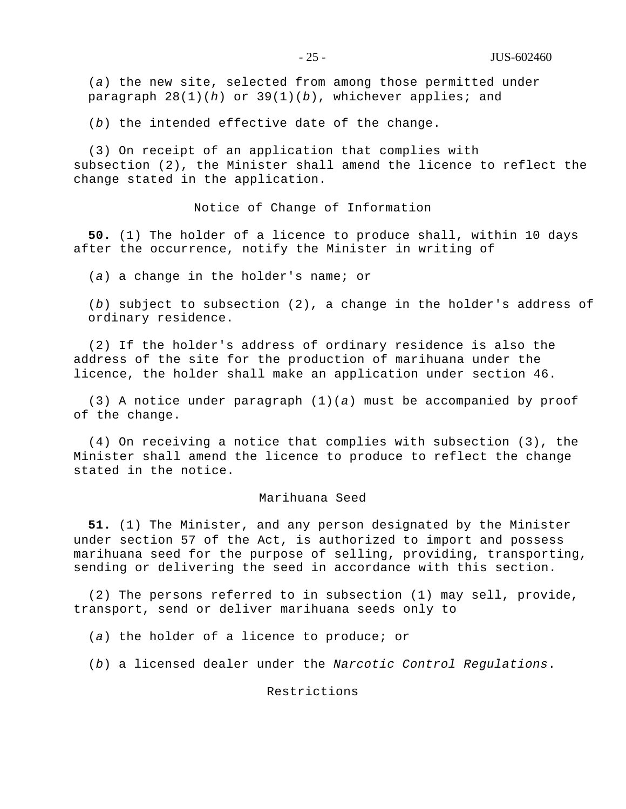(*a*) the new site, selected from among those permitted under paragraph 28(1)(*h*) or 39(1)(*b*), whichever applies; and

(*b*) the intended effective date of the change.

(3) On receipt of an application that complies with subsection (2), the Minister shall amend the licence to reflect the change stated in the application.

Notice of Change of Information

**50.** (1) The holder of a licence to produce shall, within 10 days after the occurrence, notify the Minister in writing of

(*a*) a change in the holder's name; or

(*b*) subject to subsection (2), a change in the holder's address of ordinary residence.

(2) If the holder's address of ordinary residence is also the address of the site for the production of marihuana under the licence, the holder shall make an application under section 46.

(3) A notice under paragraph (1)(*a*) must be accompanied by proof of the change.

(4) On receiving a notice that complies with subsection (3), the Minister shall amend the licence to produce to reflect the change stated in the notice.

#### Marihuana Seed

**51.** (1) The Minister, and any person designated by the Minister under section 57 of the Act, is authorized to import and possess marihuana seed for the purpose of selling, providing, transporting, sending or delivering the seed in accordance with this section.

(2) The persons referred to in subsection (1) may sell, provide, transport, send or deliver marihuana seeds only to

(*a*) the holder of a licence to produce; or

(*b*) a licensed dealer under the *Narcotic Control Regulations*.

#### Restrictions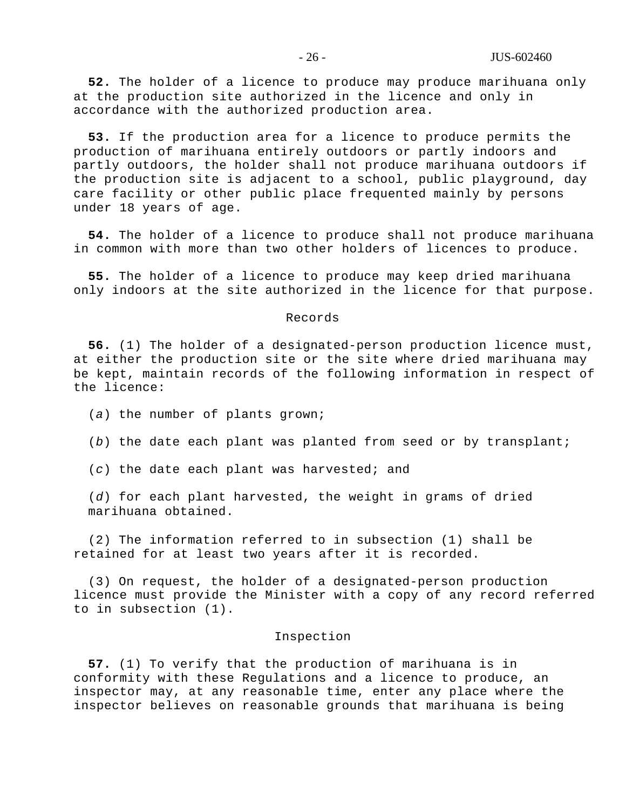**52.** The holder of a licence to produce may produce marihuana only at the production site authorized in the licence and only in accordance with the authorized production area.

**53.** If the production area for a licence to produce permits the production of marihuana entirely outdoors or partly indoors and partly outdoors, the holder shall not produce marihuana outdoors if the production site is adjacent to a school, public playground, day care facility or other public place frequented mainly by persons under 18 years of age.

**54.** The holder of a licence to produce shall not produce marihuana in common with more than two other holders of licences to produce.

**55.** The holder of a licence to produce may keep dried marihuana only indoors at the site authorized in the licence for that purpose.

#### Records

**56.** (1) The holder of a designated-person production licence must, at either the production site or the site where dried marihuana may be kept, maintain records of the following information in respect of the licence:

(*a*) the number of plants grown;

(*b*) the date each plant was planted from seed or by transplant;

(*c*) the date each plant was harvested; and

(*d*) for each plant harvested, the weight in grams of dried marihuana obtained.

(2) The information referred to in subsection (1) shall be retained for at least two years after it is recorded.

(3) On request, the holder of a designated-person production licence must provide the Minister with a copy of any record referred to in subsection (1).

#### Inspection

**57.** (1) To verify that the production of marihuana is in conformity with these Regulations and a licence to produce, an inspector may, at any reasonable time, enter any place where the inspector believes on reasonable grounds that marihuana is being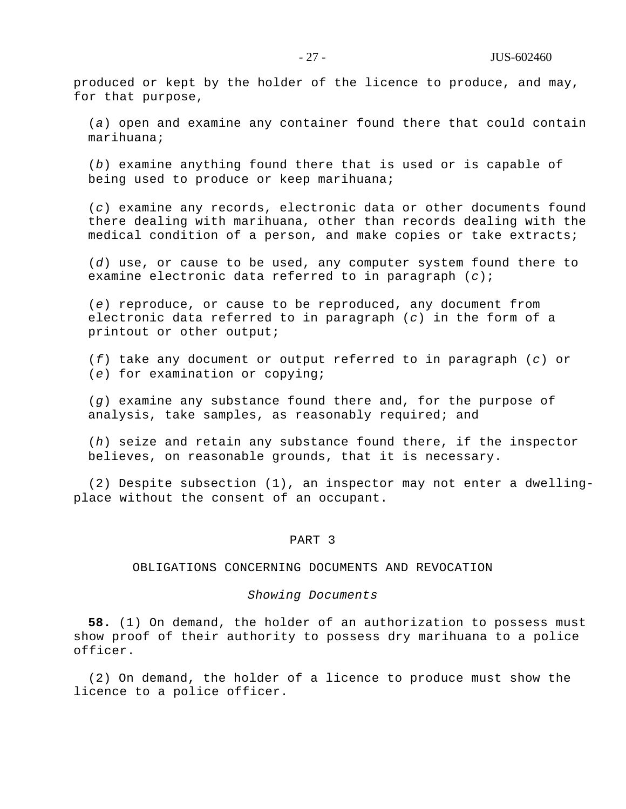produced or kept by the holder of the licence to produce, and may, for that purpose,

(*a*) open and examine any container found there that could contain marihuana;

(*b*) examine anything found there that is used or is capable of being used to produce or keep marihuana;

(*c*) examine any records, electronic data or other documents found there dealing with marihuana, other than records dealing with the medical condition of a person, and make copies or take extracts;

(*d*) use, or cause to be used, any computer system found there to examine electronic data referred to in paragraph (*c*);

(*e*) reproduce, or cause to be reproduced, any document from electronic data referred to in paragraph (*c*) in the form of a printout or other output;

(*f*) take any document or output referred to in paragraph (*c*) or (*e*) for examination or copying;

(*g*) examine any substance found there and, for the purpose of analysis, take samples, as reasonably required; and

(*h*) seize and retain any substance found there, if the inspector believes, on reasonable grounds, that it is necessary.

(2) Despite subsection (1), an inspector may not enter a dwellingplace without the consent of an occupant.

## PART 3

#### OBLIGATIONS CONCERNING DOCUMENTS AND REVOCATION

#### *Showing Documents*

**58.** (1) On demand, the holder of an authorization to possess must show proof of their authority to possess dry marihuana to a police officer.

(2) On demand, the holder of a licence to produce must show the licence to a police officer.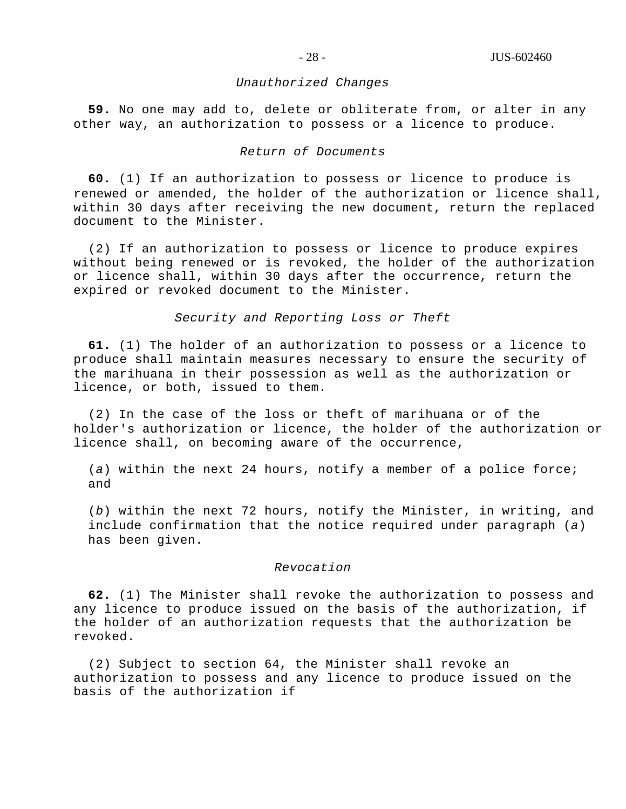#### *Unauthorized Changes*

**59.** No one may add to, delete or obliterate from, or alter in any other way, an authorization to possess or a licence to produce.

## *Return of Documents*

**60.** (1) If an authorization to possess or licence to produce is renewed or amended, the holder of the authorization or licence shall, within 30 days after receiving the new document, return the replaced document to the Minister.

(2) If an authorization to possess or licence to produce expires without being renewed or is revoked, the holder of the authorization or licence shall, within 30 days after the occurrence, return the expired or revoked document to the Minister.

*Security and Reporting Loss or Theft*

**61.** (1) The holder of an authorization to possess or a licence to produce shall maintain measures necessary to ensure the security of the marihuana in their possession as well as the authorization or licence, or both, issued to them.

(2) In the case of the loss or theft of marihuana or of the holder's authorization or licence, the holder of the authorization or licence shall, on becoming aware of the occurrence,

(*a*) within the next 24 hours, notify a member of a police force; and

(*b*) within the next 72 hours, notify the Minister, in writing, and include confirmation that the notice required under paragraph (*a*) has been given.

## *Revocation*

**62.** (1) The Minister shall revoke the authorization to possess and any licence to produce issued on the basis of the authorization, if the holder of an authorization requests that the authorization be revoked.

(2) Subject to section 64, the Minister shall revoke an authorization to possess and any licence to produce issued on the basis of the authorization if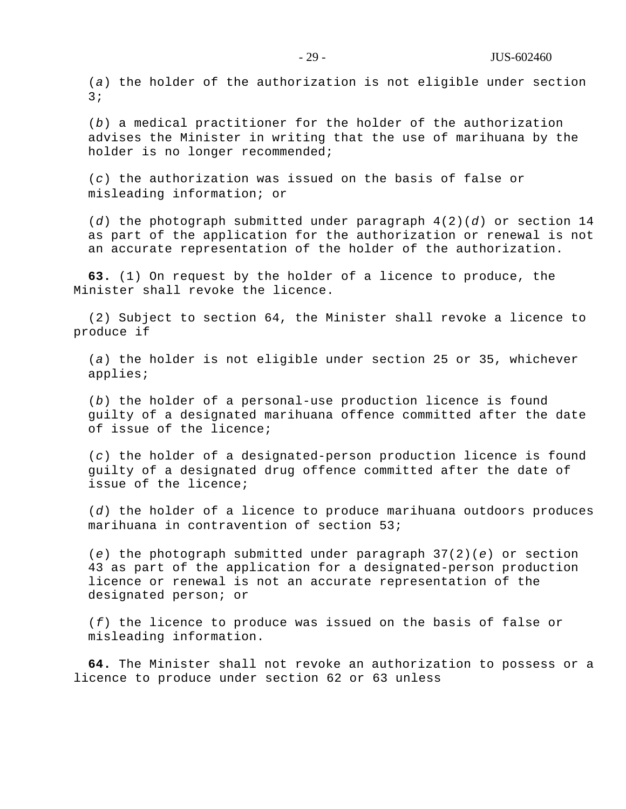(*a*) the holder of the authorization is not eligible under section 3;

(*b*) a medical practitioner for the holder of the authorization advises the Minister in writing that the use of marihuana by the holder is no longer recommended;

(*c*) the authorization was issued on the basis of false or misleading information; or

(*d*) the photograph submitted under paragraph 4(2)(*d*) or section 14 as part of the application for the authorization or renewal is not an accurate representation of the holder of the authorization.

**63.** (1) On request by the holder of a licence to produce, the Minister shall revoke the licence.

(2) Subject to section 64, the Minister shall revoke a licence to produce if

(*a*) the holder is not eligible under section 25 or 35, whichever applies;

(*b*) the holder of a personal-use production licence is found guilty of a designated marihuana offence committed after the date of issue of the licence;

(*c*) the holder of a designated-person production licence is found guilty of a designated drug offence committed after the date of issue of the licence;

(*d*) the holder of a licence to produce marihuana outdoors produces marihuana in contravention of section 53;

(*e*) the photograph submitted under paragraph 37(2)(*e*) or section 43 as part of the application for a designated-person production licence or renewal is not an accurate representation of the designated person; or

(*f*) the licence to produce was issued on the basis of false or misleading information.

**64.** The Minister shall not revoke an authorization to possess or a licence to produce under section 62 or 63 unless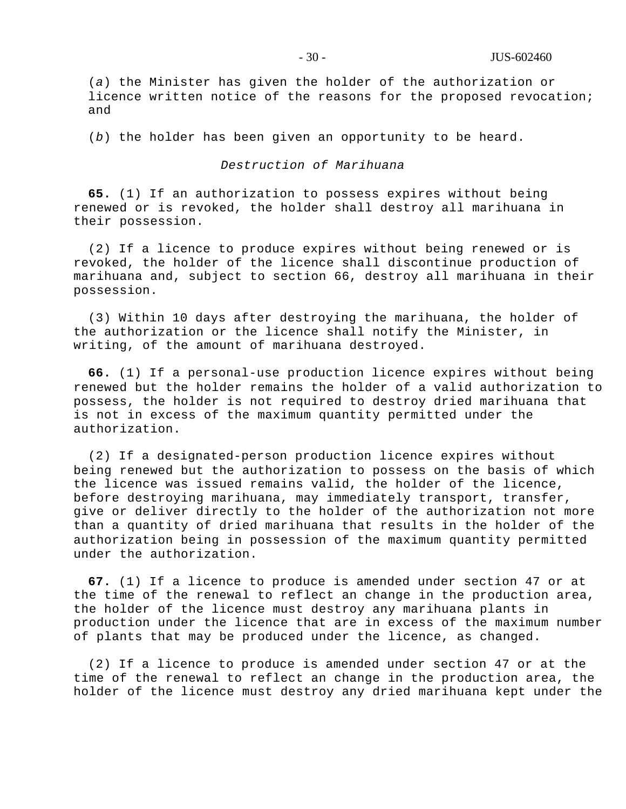(*a*) the Minister has given the holder of the authorization or licence written notice of the reasons for the proposed revocation; and

(*b*) the holder has been given an opportunity to be heard.

## *Destruction of Marihuana*

**65.** (1) If an authorization to possess expires without being renewed or is revoked, the holder shall destroy all marihuana in their possession.

(2) If a licence to produce expires without being renewed or is revoked, the holder of the licence shall discontinue production of marihuana and, subject to section 66, destroy all marihuana in their possession.

(3) Within 10 days after destroying the marihuana, the holder of the authorization or the licence shall notify the Minister, in writing, of the amount of marihuana destroyed.

**66.** (1) If a personal-use production licence expires without being renewed but the holder remains the holder of a valid authorization to possess, the holder is not required to destroy dried marihuana that is not in excess of the maximum quantity permitted under the authorization.

(2) If a designated-person production licence expires without being renewed but the authorization to possess on the basis of which the licence was issued remains valid, the holder of the licence, before destroying marihuana, may immediately transport, transfer, give or deliver directly to the holder of the authorization not more than a quantity of dried marihuana that results in the holder of the authorization being in possession of the maximum quantity permitted under the authorization.

**67.** (1) If a licence to produce is amended under section 47 or at the time of the renewal to reflect an change in the production area, the holder of the licence must destroy any marihuana plants in production under the licence that are in excess of the maximum number of plants that may be produced under the licence, as changed.

(2) If a licence to produce is amended under section 47 or at the time of the renewal to reflect an change in the production area, the holder of the licence must destroy any dried marihuana kept under the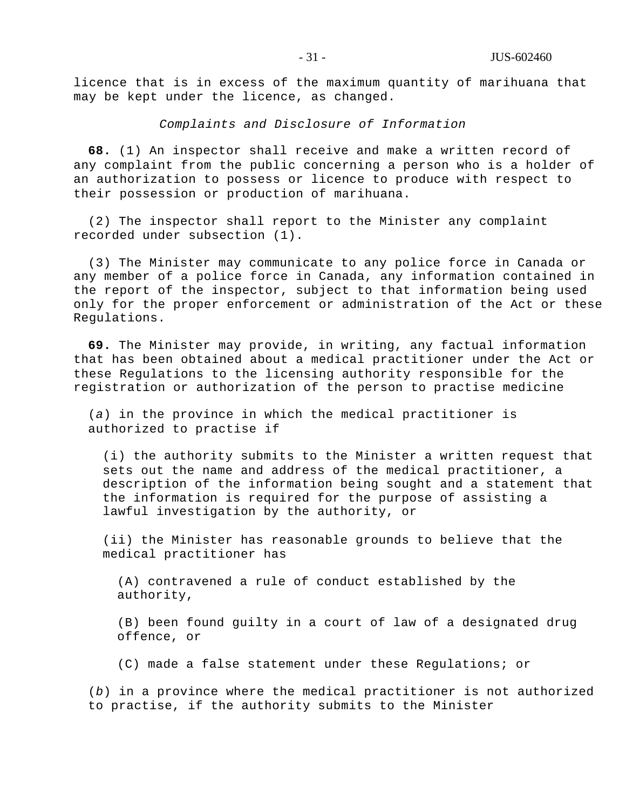licence that is in excess of the maximum quantity of marihuana that may be kept under the licence, as changed.

*Complaints and Disclosure of Information*

**68.** (1) An inspector shall receive and make a written record of any complaint from the public concerning a person who is a holder of an authorization to possess or licence to produce with respect to their possession or production of marihuana.

(2) The inspector shall report to the Minister any complaint recorded under subsection (1).

(3) The Minister may communicate to any police force in Canada or any member of a police force in Canada, any information contained in the report of the inspector, subject to that information being used only for the proper enforcement or administration of the Act or these Regulations.

**69.** The Minister may provide, in writing, any factual information that has been obtained about a medical practitioner under the Act or these Regulations to the licensing authority responsible for the registration or authorization of the person to practise medicine

(*a*) in the province in which the medical practitioner is authorized to practise if

(i) the authority submits to the Minister a written request that sets out the name and address of the medical practitioner, a description of the information being sought and a statement that the information is required for the purpose of assisting a lawful investigation by the authority, or

(ii) the Minister has reasonable grounds to believe that the medical practitioner has

(A) contravened a rule of conduct established by the authority,

(B) been found guilty in a court of law of a designated drug offence, or

(C) made a false statement under these Regulations; or

(*b*) in a province where the medical practitioner is not authorized to practise, if the authority submits to the Minister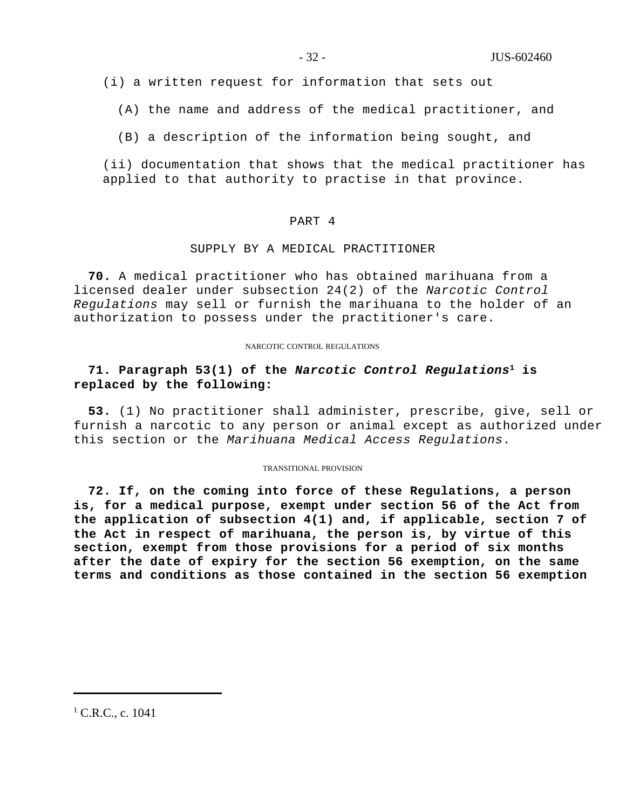(i) a written request for information that sets out

(A) the name and address of the medical practitioner, and

(B) a description of the information being sought, and

(ii) documentation that shows that the medical practitioner has applied to that authority to practise in that province.

#### PART 4

#### SUPPLY BY A MEDICAL PRACTITIONER

**70.** A medical practitioner who has obtained marihuana from a licensed dealer under subsection 24(2) of the *Narcotic Control Regulations* may sell or furnish the marihuana to the holder of an authorization to possess under the practitioner's care.

#### NARCOTIC CONTROL REGULATIONS

# **71. Paragraph 53(1) of the** *Narcotic Control Regulations***<sup>1</sup> is replaced by the following:**

**53.** (1) No practitioner shall administer, prescribe, give, sell or furnish a narcotic to any person or animal except as authorized under this section or the *Marihuana Medical Access Regulations*.

#### TRANSITIONAL PROVISION

**72. If, on the coming into force of these Regulations, a person is, for a medical purpose, exempt under section 56 of the Act from the application of subsection 4(1) and, if applicable, section 7 of the Act in respect of marihuana, the person is, by virtue of this section, exempt from those provisions for a period of six months after the date of expiry for the section 56 exemption, on the same terms and conditions as those contained in the section 56 exemption**

 $1^1$  C.R.C., c. 1041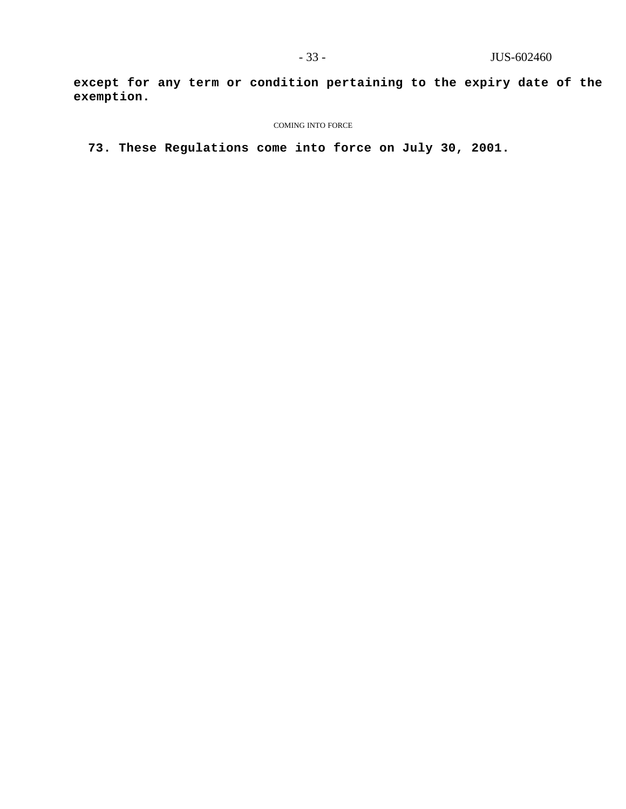**except for any term or condition pertaining to the expiry date of the exemption.**

#### COMING INTO FORCE

**73. These Regulations come into force on July 30, 2001.**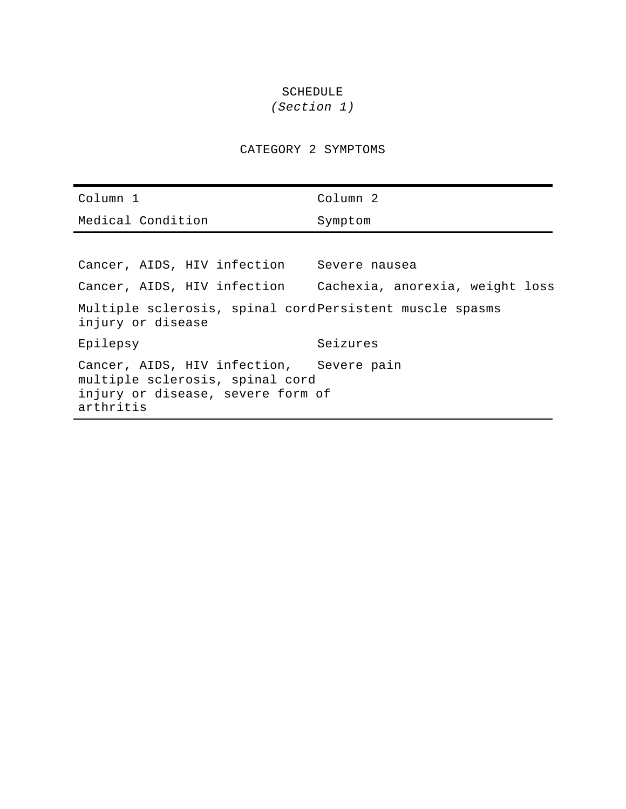# SCHEDULE

# *(Section 1)*

CATEGORY 2 SYMPTOMS

| Column 1                                                                                                                      | Column <sub>2</sub>                                         |
|-------------------------------------------------------------------------------------------------------------------------------|-------------------------------------------------------------|
| Medical Condition                                                                                                             | Symptom                                                     |
|                                                                                                                               |                                                             |
| Cancer, AIDS, HIV infection Severe nausea                                                                                     |                                                             |
|                                                                                                                               | Cancer, AIDS, HIV infection Cachexia, anorexia, weight loss |
| Multiple sclerosis, spinal cord Persistent muscle spasms<br>injury or disease                                                 |                                                             |
| Epilepsy                                                                                                                      | Seizures                                                    |
| Cancer, AIDS, HIV infection, Severe pain<br>multiple sclerosis, spinal cord<br>injury or disease, severe form of<br>arthritis |                                                             |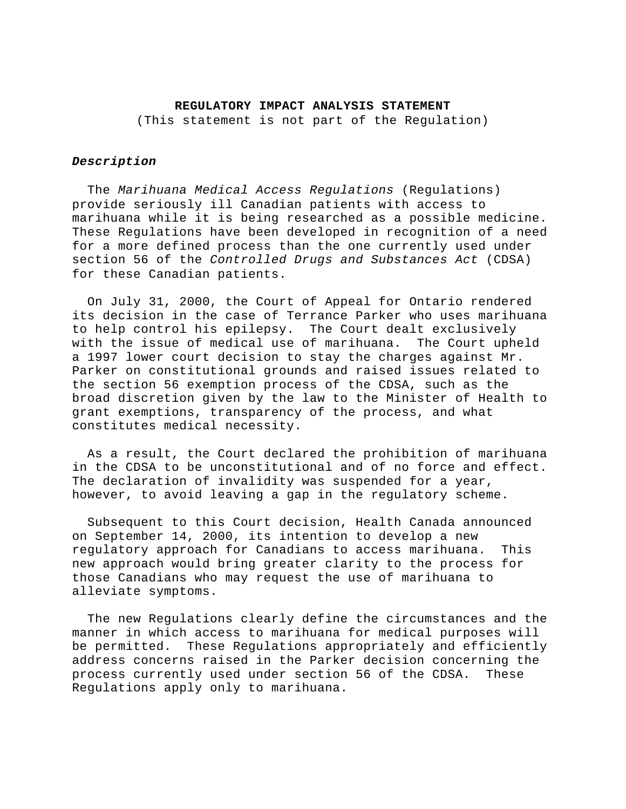#### **REGULATORY IMPACT ANALYSIS STATEMENT**

(This statement is not part of the Regulation)

## *Description*

 The *Marihuana Medical Access Regulations* (Regulations) provide seriously ill Canadian patients with access to marihuana while it is being researched as a possible medicine. These Regulations have been developed in recognition of a need for a more defined process than the one currently used under section 56 of the *Controlled Drugs and Substances Act* (CDSA) for these Canadian patients.

 On July 31, 2000, the Court of Appeal for Ontario rendered its decision in the case of Terrance Parker who uses marihuana to help control his epilepsy. The Court dealt exclusively with the issue of medical use of marihuana. The Court upheld a 1997 lower court decision to stay the charges against Mr. Parker on constitutional grounds and raised issues related to the section 56 exemption process of the CDSA, such as the broad discretion given by the law to the Minister of Health to grant exemptions, transparency of the process, and what constitutes medical necessity.

 As a result, the Court declared the prohibition of marihuana in the CDSA to be unconstitutional and of no force and effect. The declaration of invalidity was suspended for a year, however, to avoid leaving a gap in the regulatory scheme.

 Subsequent to this Court decision, Health Canada announced on September 14, 2000, its intention to develop a new regulatory approach for Canadians to access marihuana. This new approach would bring greater clarity to the process for those Canadians who may request the use of marihuana to alleviate symptoms.

 The new Regulations clearly define the circumstances and the manner in which access to marihuana for medical purposes will be permitted. These Regulations appropriately and efficiently address concerns raised in the Parker decision concerning the process currently used under section 56 of the CDSA. These Regulations apply only to marihuana.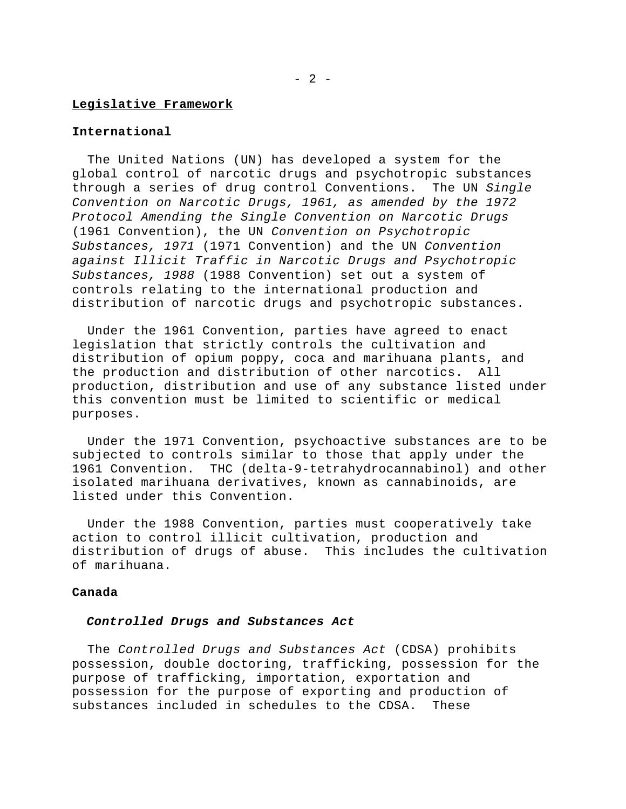#### **Legislative Framework**

## **International**

 The United Nations (UN) has developed a system for the global control of narcotic drugs and psychotropic substances through a series of drug control Conventions. The UN *Single Convention on Narcotic Drugs, 1961, as amended by the 1972 Protocol Amending the Single Convention on Narcotic Drugs* (1961 Convention), the UN *Convention on Psychotropic Substances, 1971* (1971 Convention) and the UN *Convention against Illicit Traffic in Narcotic Drugs and Psychotropic Substances, 1988* (1988 Convention) set out a system of controls relating to the international production and distribution of narcotic drugs and psychotropic substances.

 Under the 1961 Convention, parties have agreed to enact legislation that strictly controls the cultivation and distribution of opium poppy, coca and marihuana plants, and the production and distribution of other narcotics. All production, distribution and use of any substance listed under this convention must be limited to scientific or medical purposes.

 Under the 1971 Convention, psychoactive substances are to be subjected to controls similar to those that apply under the 1961 Convention. THC (delta-9-tetrahydrocannabinol) and other isolated marihuana derivatives, known as cannabinoids, are listed under this Convention.

 Under the 1988 Convention, parties must cooperatively take action to control illicit cultivation, production and distribution of drugs of abuse. This includes the cultivation of marihuana.

#### **Canada**

#### *Controlled Drugs and Substances Act*

 The *Controlled Drugs and Substances Act* (CDSA) prohibits possession, double doctoring, trafficking, possession for the purpose of trafficking, importation, exportation and possession for the purpose of exporting and production of substances included in schedules to the CDSA. These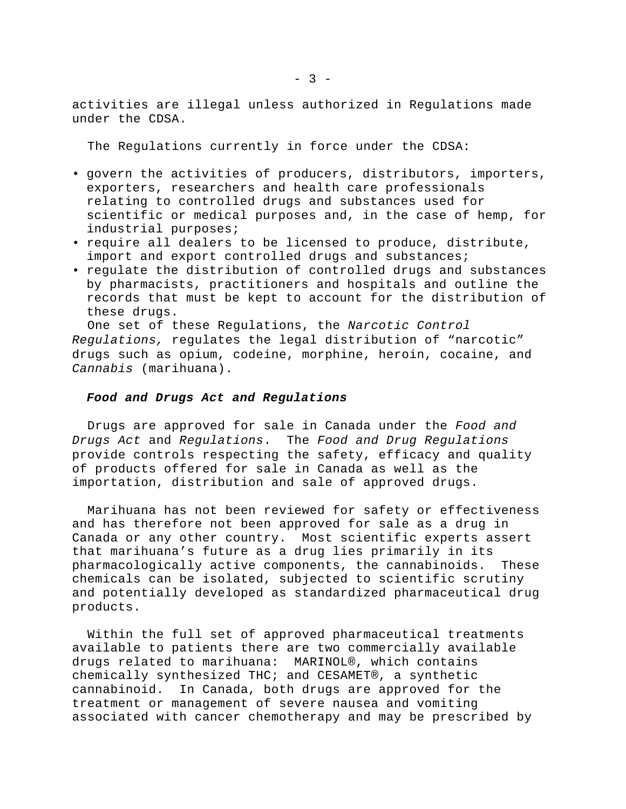activities are illegal unless authorized in Regulations made under the CDSA.

The Regulations currently in force under the CDSA:

- govern the activities of producers, distributors, importers, exporters, researchers and health care professionals relating to controlled drugs and substances used for scientific or medical purposes and, in the case of hemp, for industrial purposes;
- require all dealers to be licensed to produce, distribute, import and export controlled drugs and substances;
- regulate the distribution of controlled drugs and substances by pharmacists, practitioners and hospitals and outline the records that must be kept to account for the distribution of these drugs.

 One set of these Regulations, the *Narcotic Control Regulations,* regulates the legal distribution of "narcotic" drugs such as opium, codeine, morphine, heroin, cocaine, and *Cannabis* (marihuana).

#### *Food and Drugs Act and Regulations*

 Drugs are approved for sale in Canada under the *Food and Drugs Act* and *Regulations*. The *Food and Drug Regulations* provide controls respecting the safety, efficacy and quality of products offered for sale in Canada as well as the importation, distribution and sale of approved drugs.

 Marihuana has not been reviewed for safety or effectiveness and has therefore not been approved for sale as a drug in Canada or any other country. Most scientific experts assert that marihuana's future as a drug lies primarily in its pharmacologically active components, the cannabinoids. These chemicals can be isolated, subjected to scientific scrutiny and potentially developed as standardized pharmaceutical drug products.

 Within the full set of approved pharmaceutical treatments available to patients there are two commercially available drugs related to marihuana: MARINOL®, which contains chemically synthesized THC; and CESAMET®, a synthetic cannabinoid. In Canada, both drugs are approved for the treatment or management of severe nausea and vomiting associated with cancer chemotherapy and may be prescribed by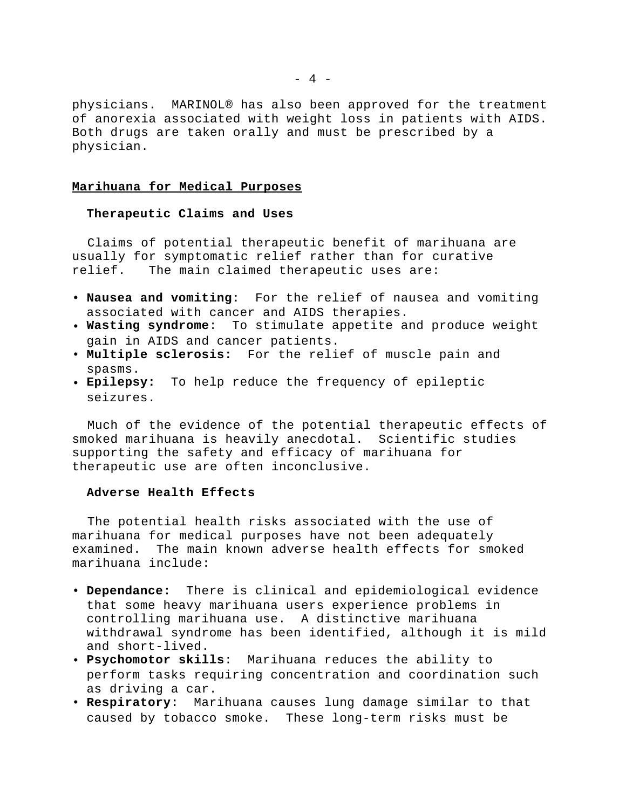physicians. MARINOL® has also been approved for the treatment of anorexia associated with weight loss in patients with AIDS. Both drugs are taken orally and must be prescribed by a physician.

## **Marihuana for Medical Purposes**

## **Therapeutic Claims and Uses**

 Claims of potential therapeutic benefit of marihuana are usually for symptomatic relief rather than for curative relief. The main claimed therapeutic uses are:

- **Nausea and vomiting**: For the relief of nausea and vomiting associated with cancer and AIDS therapies.
- **Wasting syndrome**: To stimulate appetite and produce weight gain in AIDS and cancer patients.
- **Multiple sclerosis:** For the relief of muscle pain and spasms.
- **Epilepsy:** To help reduce the frequency of epileptic seizures.

 Much of the evidence of the potential therapeutic effects of smoked marihuana is heavily anecdotal. Scientific studies supporting the safety and efficacy of marihuana for therapeutic use are often inconclusive.

#### **Adverse Health Effects**

 The potential health risks associated with the use of marihuana for medical purposes have not been adequately examined. The main known adverse health effects for smoked marihuana include:

- **Dependance:** There is clinical and epidemiological evidence that some heavy marihuana users experience problems in controlling marihuana use. A distinctive marihuana withdrawal syndrome has been identified, although it is mild and short-lived.
- **Psychomotor skills**: Marihuana reduces the ability to perform tasks requiring concentration and coordination such as driving a car.
- **Respiratory:** Marihuana causes lung damage similar to that caused by tobacco smoke. These long-term risks must be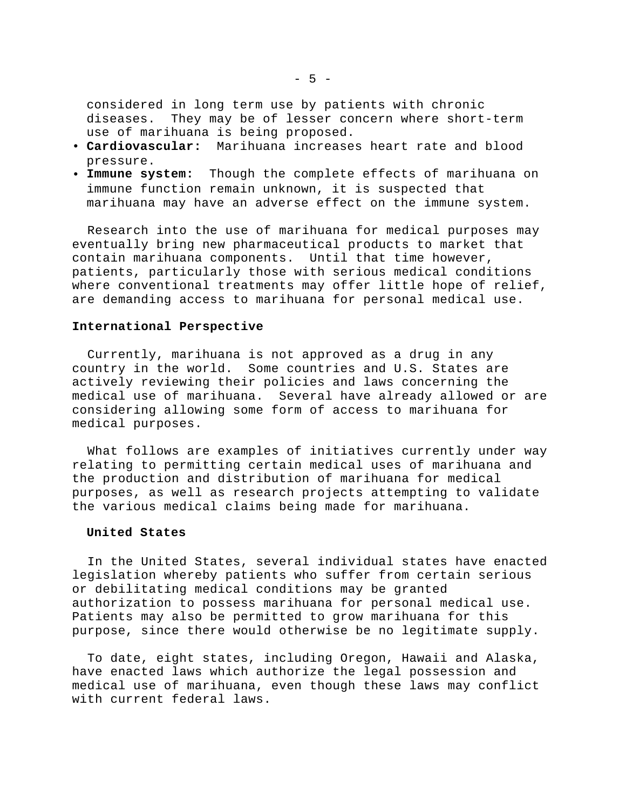considered in long term use by patients with chronic diseases. They may be of lesser concern where short-term use of marihuana is being proposed.

- **Cardiovascular:** Marihuana increases heart rate and blood pressure.
- **Immune system:** Though the complete effects of marihuana on immune function remain unknown, it is suspected that marihuana may have an adverse effect on the immune system.

 Research into the use of marihuana for medical purposes may eventually bring new pharmaceutical products to market that contain marihuana components. Until that time however, patients, particularly those with serious medical conditions where conventional treatments may offer little hope of relief, are demanding access to marihuana for personal medical use.

#### **International Perspective**

 Currently, marihuana is not approved as a drug in any country in the world. Some countries and U.S. States are actively reviewing their policies and laws concerning the medical use of marihuana. Several have already allowed or are considering allowing some form of access to marihuana for medical purposes.

 What follows are examples of initiatives currently under way relating to permitting certain medical uses of marihuana and the production and distribution of marihuana for medical purposes, as well as research projects attempting to validate the various medical claims being made for marihuana.

#### **United States**

 In the United States, several individual states have enacted legislation whereby patients who suffer from certain serious or debilitating medical conditions may be granted authorization to possess marihuana for personal medical use. Patients may also be permitted to grow marihuana for this purpose, since there would otherwise be no legitimate supply.

 To date, eight states, including Oregon, Hawaii and Alaska, have enacted laws which authorize the legal possession and medical use of marihuana, even though these laws may conflict with current federal laws.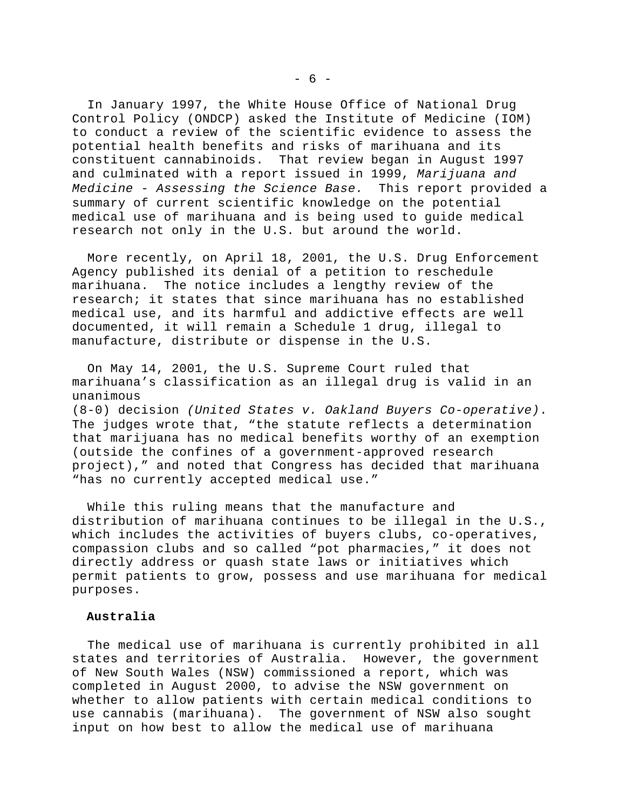In January 1997, the White House Office of National Drug Control Policy (ONDCP) asked the Institute of Medicine (IOM) to conduct a review of the scientific evidence to assess the potential health benefits and risks of marihuana and its constituent cannabinoids. That review began in August 1997 and culminated with a report issued in 1999, *Marijuana and Medicine - Assessing the Science Base.* This report provided a summary of current scientific knowledge on the potential medical use of marihuana and is being used to guide medical research not only in the U.S. but around the world.

 More recently, on April 18, 2001, the U.S. Drug Enforcement Agency published its denial of a petition to reschedule marihuana. The notice includes a lengthy review of the research; it states that since marihuana has no established medical use, and its harmful and addictive effects are well documented, it will remain a Schedule 1 drug, illegal to manufacture, distribute or dispense in the U.S.

 On May 14, 2001, the U.S. Supreme Court ruled that marihuana's classification as an illegal drug is valid in an unanimous (8-0) decision *(United States v. Oakland Buyers Co-operative)*. The judges wrote that, "the statute reflects a determination that marijuana has no medical benefits worthy of an exemption (outside the confines of a government-approved research project)," and noted that Congress has decided that marihuana "has no currently accepted medical use."

 While this ruling means that the manufacture and distribution of marihuana continues to be illegal in the U.S., which includes the activities of buyers clubs, co-operatives, compassion clubs and so called "pot pharmacies," it does not directly address or quash state laws or initiatives which permit patients to grow, possess and use marihuana for medical purposes.

#### **Australia**

 The medical use of marihuana is currently prohibited in all states and territories of Australia. However, the government of New South Wales (NSW) commissioned a report, which was completed in August 2000, to advise the NSW government on whether to allow patients with certain medical conditions to use cannabis (marihuana). The government of NSW also sought input on how best to allow the medical use of marihuana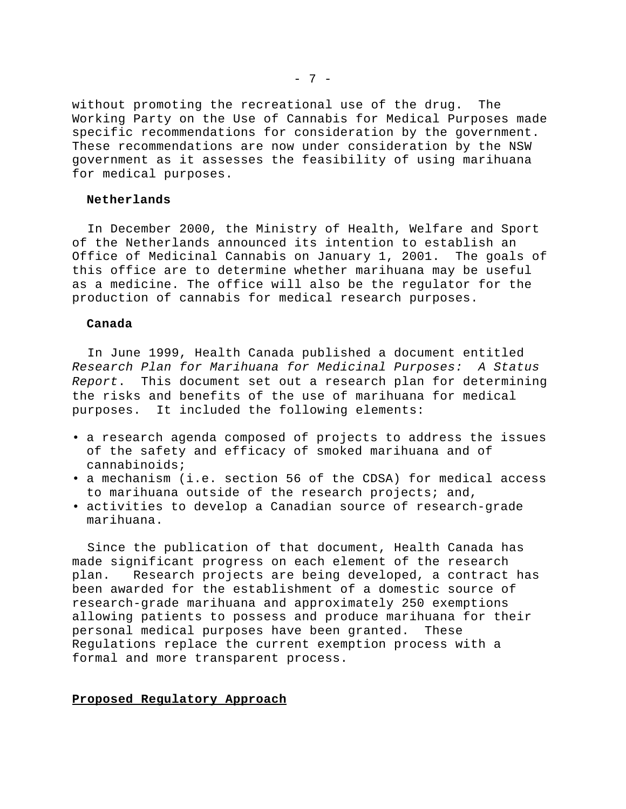without promoting the recreational use of the drug. The Working Party on the Use of Cannabis for Medical Purposes made specific recommendations for consideration by the government. These recommendations are now under consideration by the NSW government as it assesses the feasibility of using marihuana for medical purposes.

### **Netherlands**

 In December 2000, the Ministry of Health, Welfare and Sport of the Netherlands announced its intention to establish an Office of Medicinal Cannabis on January 1, 2001. The goals of this office are to determine whether marihuana may be useful as a medicine. The office will also be the regulator for the production of cannabis for medical research purposes.

#### **Canada**

 In June 1999, Health Canada published a document entitled *Research Plan for Marihuana for Medicinal Purposes: A Status Report*. This document set out a research plan for determining the risks and benefits of the use of marihuana for medical purposes. It included the following elements:

- a research agenda composed of projects to address the issues of the safety and efficacy of smoked marihuana and of cannabinoids;
- a mechanism (i.e. section 56 of the CDSA) for medical access to marihuana outside of the research projects; and,
- activities to develop a Canadian source of research-grade marihuana.

 Since the publication of that document, Health Canada has made significant progress on each element of the research plan. Research projects are being developed, a contract has been awarded for the establishment of a domestic source of research-grade marihuana and approximately 250 exemptions allowing patients to possess and produce marihuana for their personal medical purposes have been granted. These Regulations replace the current exemption process with a formal and more transparent process.

#### **Proposed Regulatory Approach**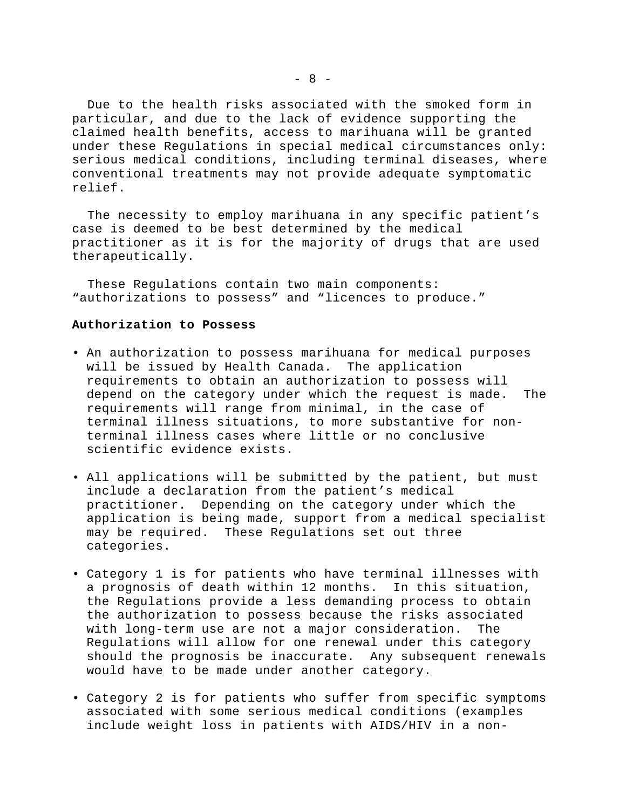Due to the health risks associated with the smoked form in particular, and due to the lack of evidence supporting the claimed health benefits, access to marihuana will be granted under these Regulations in special medical circumstances only: serious medical conditions, including terminal diseases, where conventional treatments may not provide adequate symptomatic relief.

 The necessity to employ marihuana in any specific patient's case is deemed to be best determined by the medical practitioner as it is for the majority of drugs that are used therapeutically.

 These Regulations contain two main components: "authorizations to possess" and "licences to produce."

#### **Authorization to Possess**

- An authorization to possess marihuana for medical purposes will be issued by Health Canada. The application requirements to obtain an authorization to possess will depend on the category under which the request is made. The requirements will range from minimal, in the case of terminal illness situations, to more substantive for nonterminal illness cases where little or no conclusive scientific evidence exists.
- All applications will be submitted by the patient, but must include a declaration from the patient's medical practitioner. Depending on the category under which the application is being made, support from a medical specialist may be required. These Regulations set out three categories.
- Category 1 is for patients who have terminal illnesses with a prognosis of death within 12 months. In this situation, the Regulations provide a less demanding process to obtain the authorization to possess because the risks associated with long-term use are not a major consideration. The Regulations will allow for one renewal under this category should the prognosis be inaccurate. Any subsequent renewals would have to be made under another category.
- Category 2 is for patients who suffer from specific symptoms associated with some serious medical conditions (examples include weight loss in patients with AIDS/HIV in a non-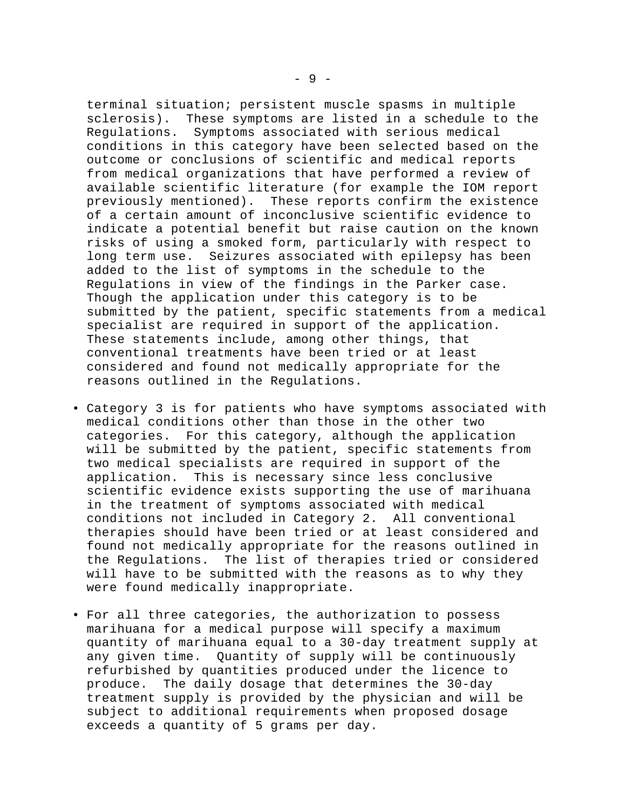terminal situation; persistent muscle spasms in multiple sclerosis). These symptoms are listed in a schedule to the Regulations. Symptoms associated with serious medical conditions in this category have been selected based on the outcome or conclusions of scientific and medical reports from medical organizations that have performed a review of available scientific literature (for example the IOM report previously mentioned). These reports confirm the existence of a certain amount of inconclusive scientific evidence to indicate a potential benefit but raise caution on the known risks of using a smoked form, particularly with respect to long term use. Seizures associated with epilepsy has been added to the list of symptoms in the schedule to the Regulations in view of the findings in the Parker case. Though the application under this category is to be submitted by the patient, specific statements from a medical specialist are required in support of the application. These statements include, among other things, that conventional treatments have been tried or at least considered and found not medically appropriate for the reasons outlined in the Regulations.

- Category 3 is for patients who have symptoms associated with medical conditions other than those in the other two categories. For this category, although the application will be submitted by the patient, specific statements from two medical specialists are required in support of the application. This is necessary since less conclusive scientific evidence exists supporting the use of marihuana in the treatment of symptoms associated with medical conditions not included in Category 2. All conventional therapies should have been tried or at least considered and found not medically appropriate for the reasons outlined in the Regulations. The list of therapies tried or considered will have to be submitted with the reasons as to why they were found medically inappropriate.
- For all three categories, the authorization to possess marihuana for a medical purpose will specify a maximum quantity of marihuana equal to a 30-day treatment supply at any given time. Quantity of supply will be continuously refurbished by quantities produced under the licence to produce. The daily dosage that determines the 30-day treatment supply is provided by the physician and will be subject to additional requirements when proposed dosage exceeds a quantity of 5 grams per day.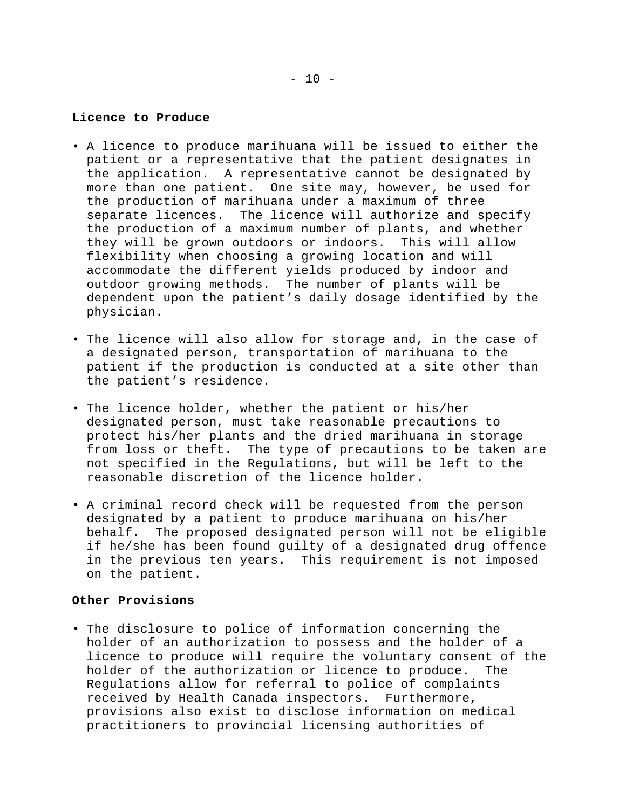### **Licence to Produce**

- A licence to produce marihuana will be issued to either the patient or a representative that the patient designates in the application. A representative cannot be designated by more than one patient. One site may, however, be used for the production of marihuana under a maximum of three separate licences. The licence will authorize and specify the production of a maximum number of plants, and whether they will be grown outdoors or indoors. This will allow flexibility when choosing a growing location and will accommodate the different yields produced by indoor and outdoor growing methods. The number of plants will be dependent upon the patient's daily dosage identified by the physician.
- The licence will also allow for storage and, in the case of a designated person, transportation of marihuana to the patient if the production is conducted at a site other than the patient's residence.
- The licence holder, whether the patient or his/her designated person, must take reasonable precautions to protect his/her plants and the dried marihuana in storage from loss or theft. The type of precautions to be taken are not specified in the Regulations, but will be left to the reasonable discretion of the licence holder.
- A criminal record check will be requested from the person designated by a patient to produce marihuana on his/her behalf. The proposed designated person will not be eligible if he/she has been found guilty of a designated drug offence in the previous ten years. This requirement is not imposed on the patient.

## **Other Provisions**

• The disclosure to police of information concerning the holder of an authorization to possess and the holder of a licence to produce will require the voluntary consent of the holder of the authorization or licence to produce. The Regulations allow for referral to police of complaints received by Health Canada inspectors. Furthermore, provisions also exist to disclose information on medical practitioners to provincial licensing authorities of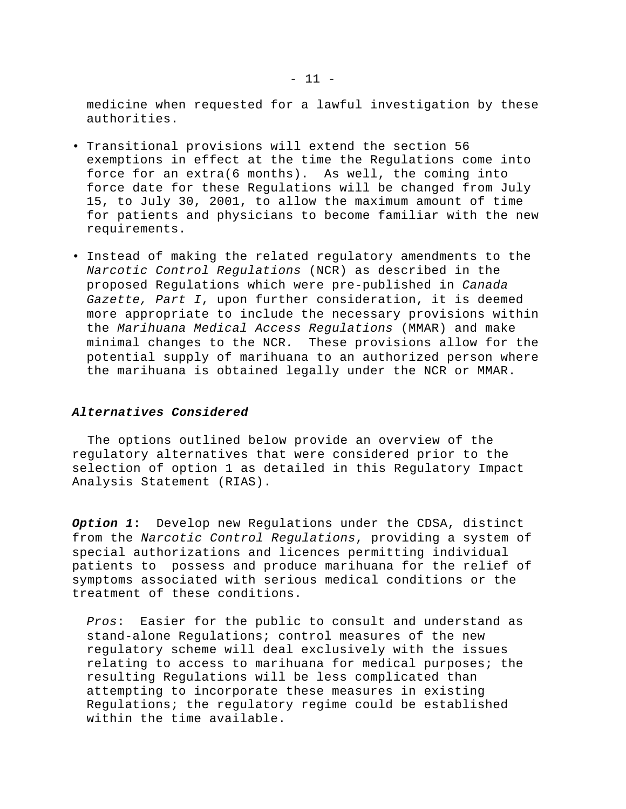medicine when requested for a lawful investigation by these authorities.

- Transitional provisions will extend the section 56 exemptions in effect at the time the Regulations come into force for an extra(6 months). As well, the coming into force date for these Regulations will be changed from July 15, to July 30, 2001, to allow the maximum amount of time for patients and physicians to become familiar with the new requirements.
- Instead of making the related regulatory amendments to the *Narcotic Control Regulations* (NCR) as described in the proposed Regulations which were pre-published in *Canada Gazette, Part I*, upon further consideration, it is deemed more appropriate to include the necessary provisions within the *Marihuana Medical Access Regulations* (MMAR) and make minimal changes to the NCR*.* These provisions allow for the potential supply of marihuana to an authorized person where the marihuana is obtained legally under the NCR or MMAR.

## *Alternatives Considered*

 The options outlined below provide an overview of the regulatory alternatives that were considered prior to the selection of option 1 as detailed in this Regulatory Impact Analysis Statement (RIAS).

*Option 1***:** Develop new Regulations under the CDSA, distinct from the *Narcotic Control Regulations*, providing a system of special authorizations and licences permitting individual patients to possess and produce marihuana for the relief of symptoms associated with serious medical conditions or the treatment of these conditions.

*Pros*: Easier for the public to consult and understand as stand-alone Regulations; control measures of the new regulatory scheme will deal exclusively with the issues relating to access to marihuana for medical purposes; the resulting Regulations will be less complicated than attempting to incorporate these measures in existing Regulations; the regulatory regime could be established within the time available.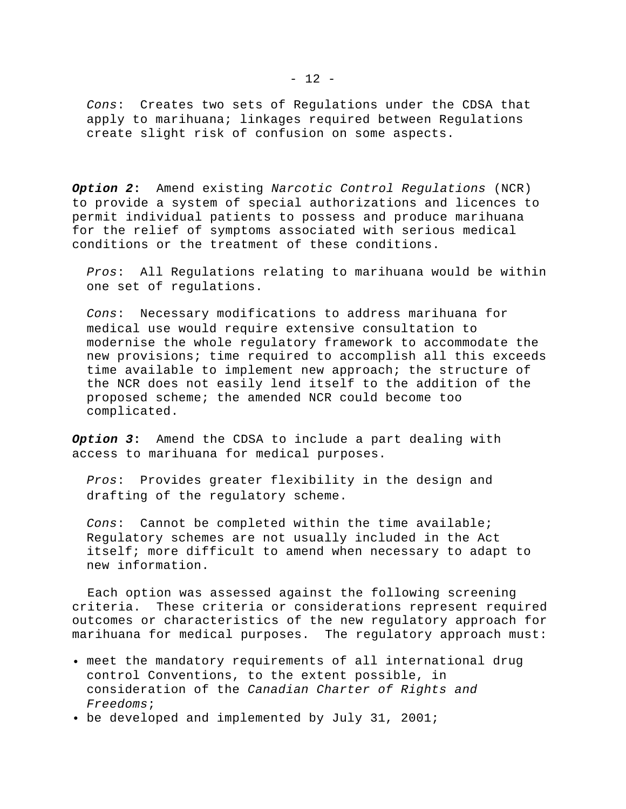*Cons*: Creates two sets of Regulations under the CDSA that apply to marihuana; linkages required between Regulations create slight risk of confusion on some aspects.

*Option 2***:** Amend existing *Narcotic Control Regulations* (NCR) to provide a system of special authorizations and licences to permit individual patients to possess and produce marihuana for the relief of symptoms associated with serious medical conditions or the treatment of these conditions.

*Pros*: All Regulations relating to marihuana would be within one set of regulations.

*Cons*: Necessary modifications to address marihuana for medical use would require extensive consultation to modernise the whole regulatory framework to accommodate the new provisions; time required to accomplish all this exceeds time available to implement new approach; the structure of the NCR does not easily lend itself to the addition of the proposed scheme; the amended NCR could become too complicated.

*Option 3***:** Amend the CDSA to include a part dealing with access to marihuana for medical purposes.

*Pros*: Provides greater flexibility in the design and drafting of the regulatory scheme.

*Cons*: Cannot be completed within the time available; Regulatory schemes are not usually included in the Act itself; more difficult to amend when necessary to adapt to new information.

 Each option was assessed against the following screening criteria. These criteria or considerations represent required outcomes or characteristics of the new regulatory approach for marihuana for medical purposes. The regulatory approach must:

- meet the mandatory requirements of all international drug control Conventions, to the extent possible, in consideration of the *Canadian Charter of Rights and Freedoms*;
- be developed and implemented by July 31, 2001;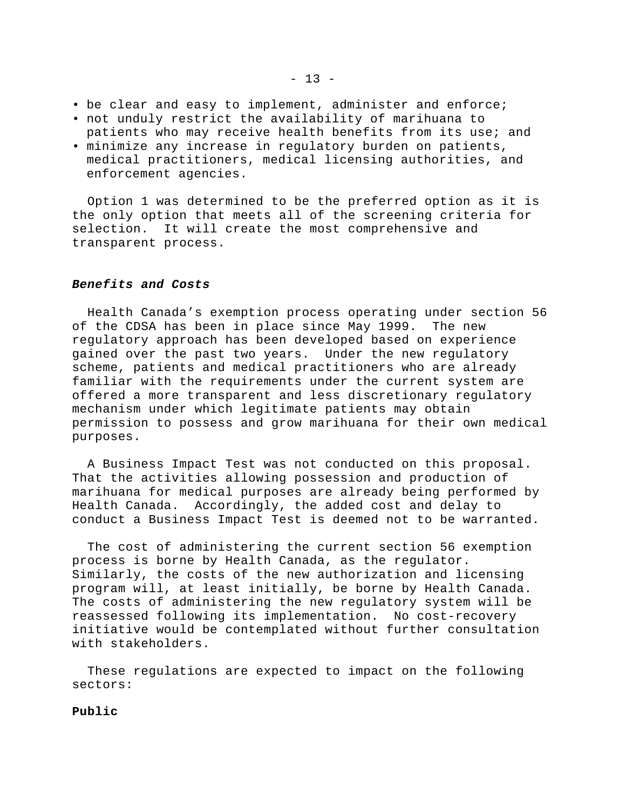- be clear and easy to implement, administer and enforce;
- not unduly restrict the availability of marihuana to patients who may receive health benefits from its use; and
- minimize any increase in regulatory burden on patients, medical practitioners, medical licensing authorities, and enforcement agencies.

 Option 1 was determined to be the preferred option as it is the only option that meets all of the screening criteria for selection. It will create the most comprehensive and transparent process.

## *Benefits and Costs*

 Health Canada's exemption process operating under section 56 of the CDSA has been in place since May 1999. The new regulatory approach has been developed based on experience gained over the past two years. Under the new regulatory scheme, patients and medical practitioners who are already familiar with the requirements under the current system are offered a more transparent and less discretionary regulatory mechanism under which legitimate patients may obtain permission to possess and grow marihuana for their own medical purposes.

 A Business Impact Test was not conducted on this proposal. That the activities allowing possession and production of marihuana for medical purposes are already being performed by Health Canada. Accordingly, the added cost and delay to conduct a Business Impact Test is deemed not to be warranted.

 The cost of administering the current section 56 exemption process is borne by Health Canada, as the regulator. Similarly, the costs of the new authorization and licensing program will, at least initially, be borne by Health Canada. The costs of administering the new regulatory system will be reassessed following its implementation. No cost-recovery initiative would be contemplated without further consultation with stakeholders.

 These regulations are expected to impact on the following sectors:

#### **Public**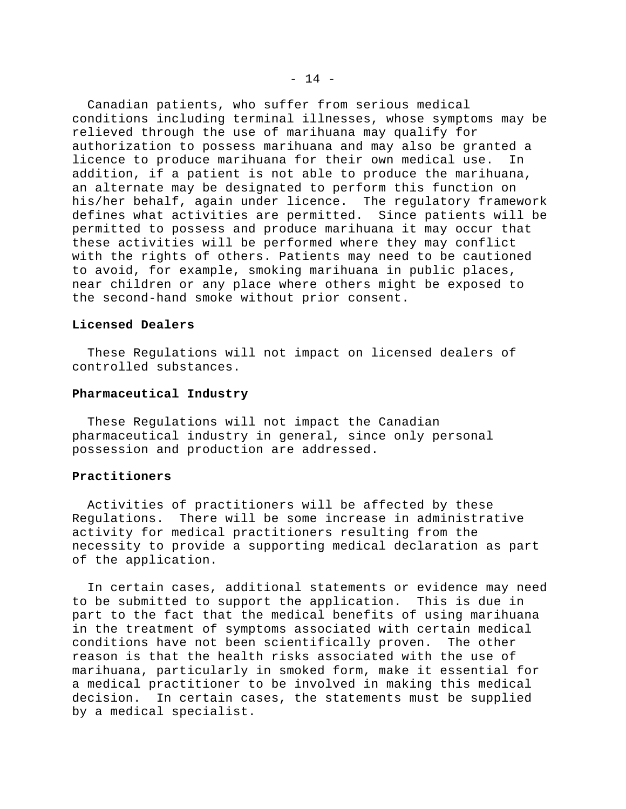Canadian patients, who suffer from serious medical conditions including terminal illnesses, whose symptoms may be relieved through the use of marihuana may qualify for authorization to possess marihuana and may also be granted a licence to produce marihuana for their own medical use. In addition, if a patient is not able to produce the marihuana, an alternate may be designated to perform this function on his/her behalf, again under licence. The regulatory framework defines what activities are permitted. Since patients will be permitted to possess and produce marihuana it may occur that these activities will be performed where they may conflict with the rights of others. Patients may need to be cautioned to avoid, for example, smoking marihuana in public places, near children or any place where others might be exposed to the second-hand smoke without prior consent.

## **Licensed Dealers**

 These Regulations will not impact on licensed dealers of controlled substances.

#### **Pharmaceutical Industry**

 These Regulations will not impact the Canadian pharmaceutical industry in general, since only personal possession and production are addressed.

## **Practitioners**

 Activities of practitioners will be affected by these Regulations. There will be some increase in administrative activity for medical practitioners resulting from the necessity to provide a supporting medical declaration as part of the application.

 In certain cases, additional statements or evidence may need to be submitted to support the application. This is due in part to the fact that the medical benefits of using marihuana in the treatment of symptoms associated with certain medical conditions have not been scientifically proven. The other reason is that the health risks associated with the use of marihuana, particularly in smoked form, make it essential for a medical practitioner to be involved in making this medical decision. In certain cases, the statements must be supplied by a medical specialist.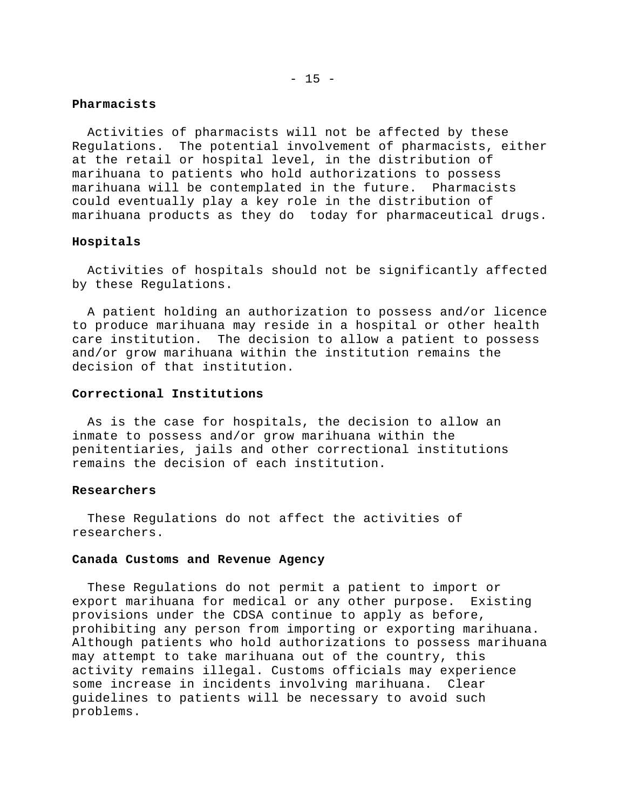## $- 15 -$

## **Pharmacists**

 Activities of pharmacists will not be affected by these Regulations. The potential involvement of pharmacists, either at the retail or hospital level, in the distribution of marihuana to patients who hold authorizations to possess marihuana will be contemplated in the future. Pharmacists could eventually play a key role in the distribution of marihuana products as they do today for pharmaceutical drugs.

## **Hospitals**

 Activities of hospitals should not be significantly affected by these Regulations.

 A patient holding an authorization to possess and/or licence to produce marihuana may reside in a hospital or other health care institution. The decision to allow a patient to possess and/or grow marihuana within the institution remains the decision of that institution.

## **Correctional Institutions**

 As is the case for hospitals, the decision to allow an inmate to possess and/or grow marihuana within the penitentiaries, jails and other correctional institutions remains the decision of each institution.

#### **Researchers**

 These Regulations do not affect the activities of researchers.

#### **Canada Customs and Revenue Agency**

 These Regulations do not permit a patient to import or export marihuana for medical or any other purpose. Existing provisions under the CDSA continue to apply as before, prohibiting any person from importing or exporting marihuana. Although patients who hold authorizations to possess marihuana may attempt to take marihuana out of the country, this activity remains illegal. Customs officials may experience some increase in incidents involving marihuana. Clear guidelines to patients will be necessary to avoid such problems.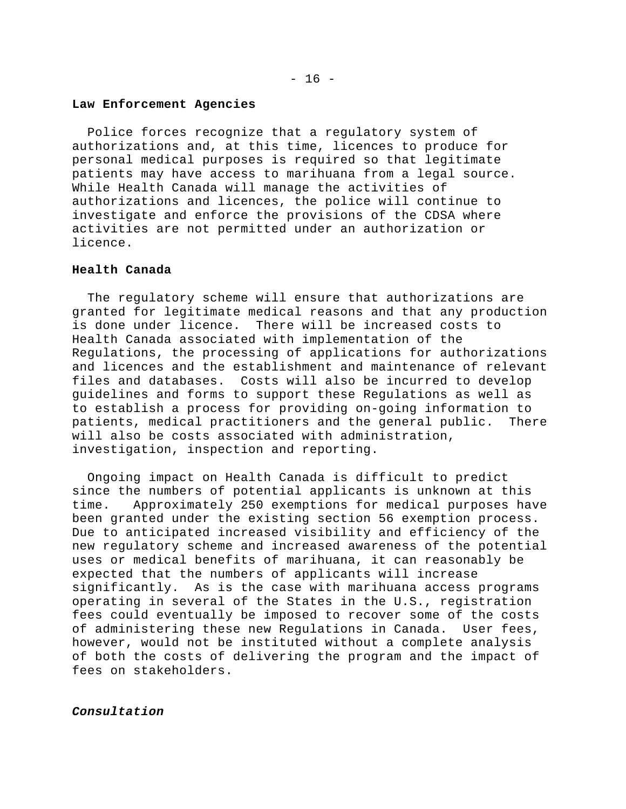#### **Law Enforcement Agencies**

 Police forces recognize that a regulatory system of authorizations and, at this time, licences to produce for personal medical purposes is required so that legitimate patients may have access to marihuana from a legal source. While Health Canada will manage the activities of authorizations and licences, the police will continue to investigate and enforce the provisions of the CDSA where activities are not permitted under an authorization or licence.

## **Health Canada**

 The regulatory scheme will ensure that authorizations are granted for legitimate medical reasons and that any production is done under licence. There will be increased costs to Health Canada associated with implementation of the Regulations, the processing of applications for authorizations and licences and the establishment and maintenance of relevant files and databases. Costs will also be incurred to develop guidelines and forms to support these Regulations as well as to establish a process for providing on-going information to patients, medical practitioners and the general public. There will also be costs associated with administration, investigation, inspection and reporting.

 Ongoing impact on Health Canada is difficult to predict since the numbers of potential applicants is unknown at this time. Approximately 250 exemptions for medical purposes have been granted under the existing section 56 exemption process. Due to anticipated increased visibility and efficiency of the new regulatory scheme and increased awareness of the potential uses or medical benefits of marihuana, it can reasonably be expected that the numbers of applicants will increase significantly. As is the case with marihuana access programs operating in several of the States in the U.S., registration fees could eventually be imposed to recover some of the costs of administering these new Regulations in Canada. User fees, however, would not be instituted without a complete analysis of both the costs of delivering the program and the impact of fees on stakeholders.

*Consultation*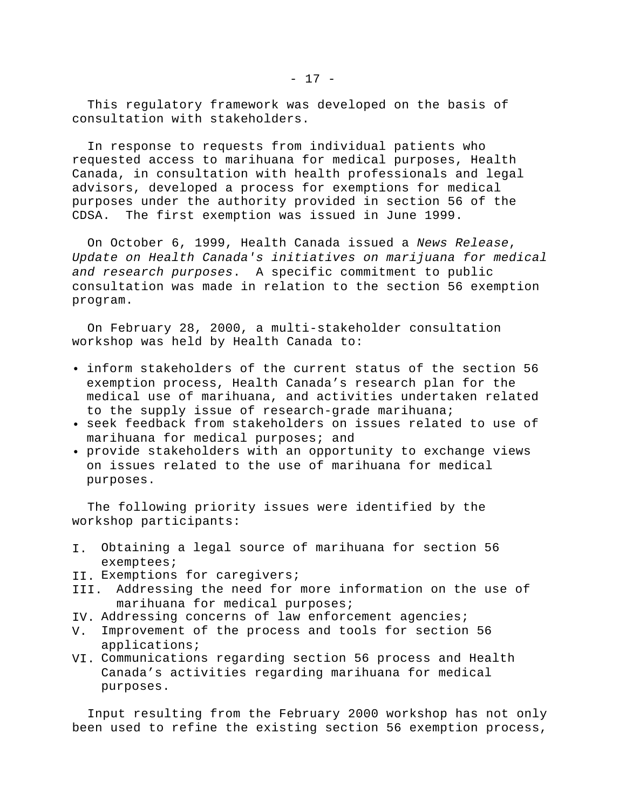In response to requests from individual patients who requested access to marihuana for medical purposes, Health Canada, in consultation with health professionals and legal advisors, developed a process for exemptions for medical purposes under the authority provided in section 56 of the CDSA. The first exemption was issued in June 1999.

 On October 6, 1999, Health Canada issued a *News Release*, *Update on Health Canada's initiatives on marijuana for medical and research purposes*. A specific commitment to public consultation was made in relation to the section 56 exemption program.

 On February 28, 2000, a multi-stakeholder consultation workshop was held by Health Canada to:

- inform stakeholders of the current status of the section 56 exemption process, Health Canada's research plan for the medical use of marihuana, and activities undertaken related to the supply issue of research-grade marihuana;
- seek feedback from stakeholders on issues related to use of marihuana for medical purposes; and
- provide stakeholders with an opportunity to exchange views on issues related to the use of marihuana for medical purposes.

 The following priority issues were identified by the workshop participants:

- I. Obtaining a legal source of marihuana for section 56 exemptees;
- II. Exemptions for caregivers;
- III. Addressing the need for more information on the use of marihuana for medical purposes;
- IV. Addressing concerns of law enforcement agencies;
- V. Improvement of the process and tools for section 56 applications;
- VI. Communications regarding section 56 process and Health Canada's activities regarding marihuana for medical purposes.

 Input resulting from the February 2000 workshop has not only been used to refine the existing section 56 exemption process,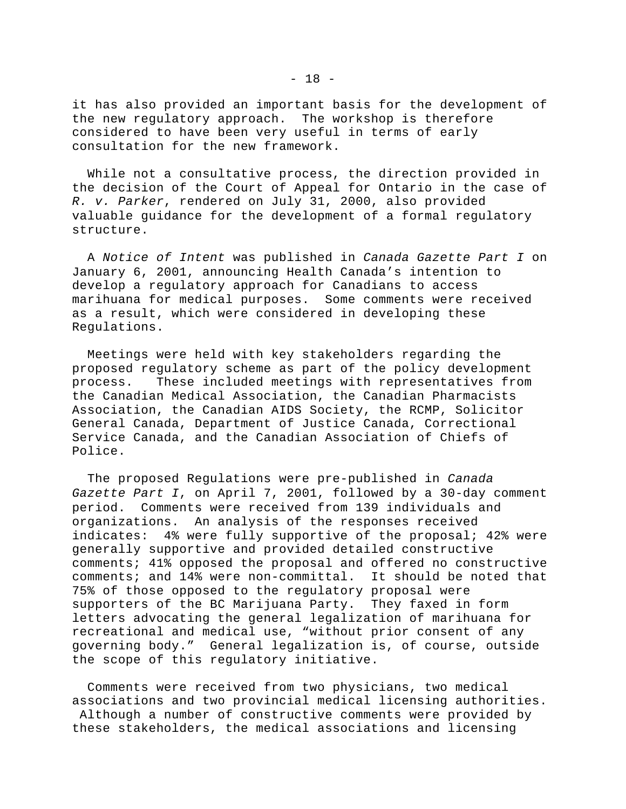it has also provided an important basis for the development of the new regulatory approach. The workshop is therefore considered to have been very useful in terms of early consultation for the new framework.

 While not a consultative process, the direction provided in the decision of the Court of Appeal for Ontario in the case of *R. v. Parker*, rendered on July 31, 2000, also provided valuable guidance for the development of a formal regulatory structure.

 A *Notice of Intent* was published in *Canada Gazette Part I* on January 6, 2001, announcing Health Canada's intention to develop a regulatory approach for Canadians to access marihuana for medical purposes. Some comments were received as a result, which were considered in developing these Regulations.

 Meetings were held with key stakeholders regarding the proposed regulatory scheme as part of the policy development process. These included meetings with representatives from the Canadian Medical Association, the Canadian Pharmacists Association, the Canadian AIDS Society, the RCMP, Solicitor General Canada, Department of Justice Canada, Correctional Service Canada, and the Canadian Association of Chiefs of Police.

 The proposed Regulations were pre-published in *Canada Gazette Part I*, on April 7, 2001, followed by a 30-day comment period. Comments were received from 139 individuals and organizations. An analysis of the responses received indicates: 4% were fully supportive of the proposal; 42% were generally supportive and provided detailed constructive comments; 41% opposed the proposal and offered no constructive comments; and 14% were non-committal. It should be noted that 75% of those opposed to the regulatory proposal were supporters of the BC Marijuana Party. They faxed in form letters advocating the general legalization of marihuana for recreational and medical use, "without prior consent of any governing body." General legalization is, of course, outside the scope of this regulatory initiative.

 Comments were received from two physicians, two medical associations and two provincial medical licensing authorities. Although a number of constructive comments were provided by these stakeholders, the medical associations and licensing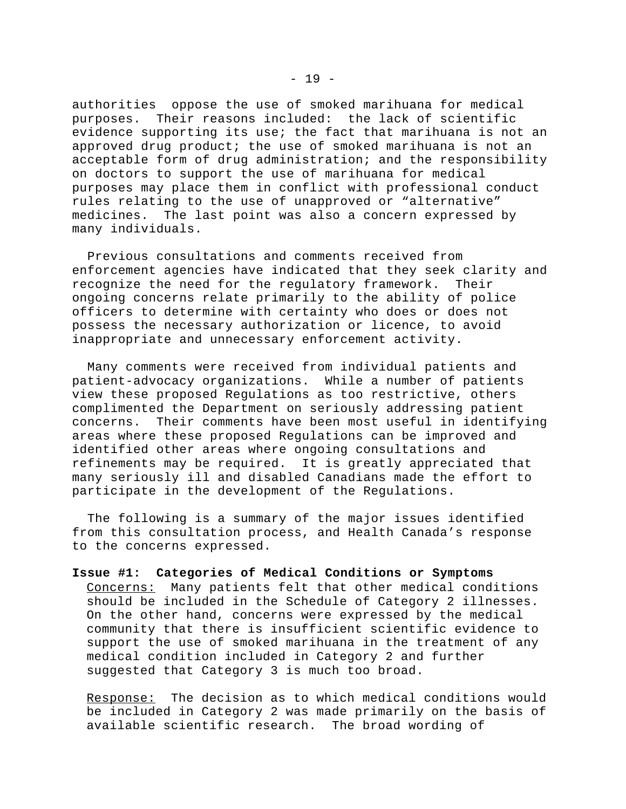authorities oppose the use of smoked marihuana for medical purposes. Their reasons included: the lack of scientific evidence supporting its use; the fact that marihuana is not an approved drug product; the use of smoked marihuana is not an acceptable form of drug administration; and the responsibility on doctors to support the use of marihuana for medical purposes may place them in conflict with professional conduct rules relating to the use of unapproved or "alternative" medicines. The last point was also a concern expressed by many individuals.

 Previous consultations and comments received from enforcement agencies have indicated that they seek clarity and recognize the need for the regulatory framework. Their ongoing concerns relate primarily to the ability of police officers to determine with certainty who does or does not possess the necessary authorization or licence, to avoid inappropriate and unnecessary enforcement activity.

 Many comments were received from individual patients and patient-advocacy organizations. While a number of patients view these proposed Regulations as too restrictive, others complimented the Department on seriously addressing patient concerns. Their comments have been most useful in identifying areas where these proposed Regulations can be improved and identified other areas where ongoing consultations and refinements may be required. It is greatly appreciated that many seriously ill and disabled Canadians made the effort to participate in the development of the Regulations.

 The following is a summary of the major issues identified from this consultation process, and Health Canada's response to the concerns expressed.

**Issue #1: Categories of Medical Conditions or Symptoms** Concerns: Many patients felt that other medical conditions should be included in the Schedule of Category 2 illnesses. On the other hand, concerns were expressed by the medical community that there is insufficient scientific evidence to support the use of smoked marihuana in the treatment of any medical condition included in Category 2 and further suggested that Category 3 is much too broad.

Response: The decision as to which medical conditions would be included in Category 2 was made primarily on the basis of available scientific research. The broad wording of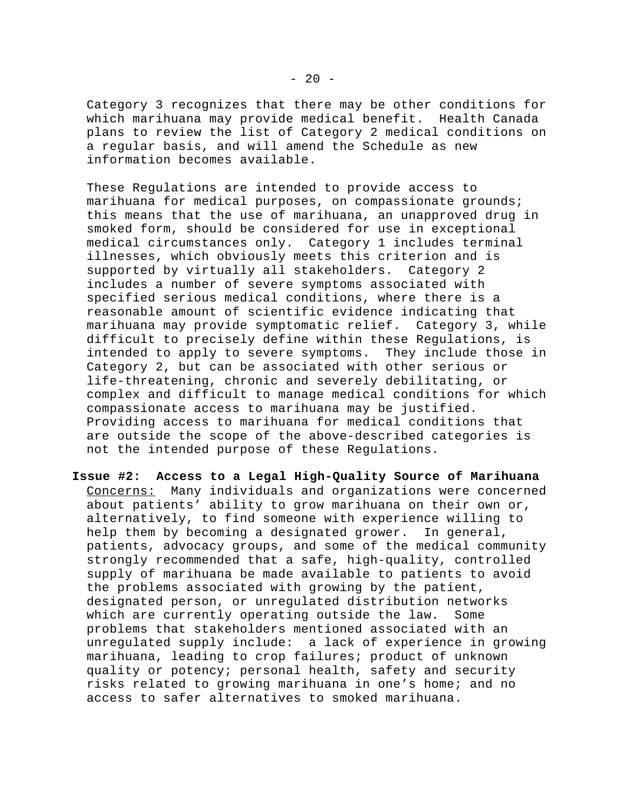Category 3 recognizes that there may be other conditions for which marihuana may provide medical benefit. Health Canada plans to review the list of Category 2 medical conditions on a regular basis, and will amend the Schedule as new information becomes available.

These Regulations are intended to provide access to marihuana for medical purposes, on compassionate grounds; this means that the use of marihuana, an unapproved drug in smoked form, should be considered for use in exceptional medical circumstances only. Category 1 includes terminal illnesses, which obviously meets this criterion and is supported by virtually all stakeholders. Category 2 includes a number of severe symptoms associated with specified serious medical conditions, where there is a reasonable amount of scientific evidence indicating that marihuana may provide symptomatic relief. Category 3, while difficult to precisely define within these Regulations, is intended to apply to severe symptoms. They include those in Category 2, but can be associated with other serious or life-threatening, chronic and severely debilitating, or complex and difficult to manage medical conditions for which compassionate access to marihuana may be justified. Providing access to marihuana for medical conditions that are outside the scope of the above-described categories is not the intended purpose of these Regulations.

**Issue #2: Access to a Legal High-Quality Source of Marihuana** Concerns: Many individuals and organizations were concerned about patients' ability to grow marihuana on their own or, alternatively, to find someone with experience willing to help them by becoming a designated grower. In general, patients, advocacy groups, and some of the medical community strongly recommended that a safe, high-quality, controlled supply of marihuana be made available to patients to avoid the problems associated with growing by the patient, designated person, or unregulated distribution networks which are currently operating outside the law. Some problems that stakeholders mentioned associated with an unregulated supply include: a lack of experience in growing marihuana, leading to crop failures; product of unknown quality or potency; personal health, safety and security risks related to growing marihuana in one's home; and no access to safer alternatives to smoked marihuana.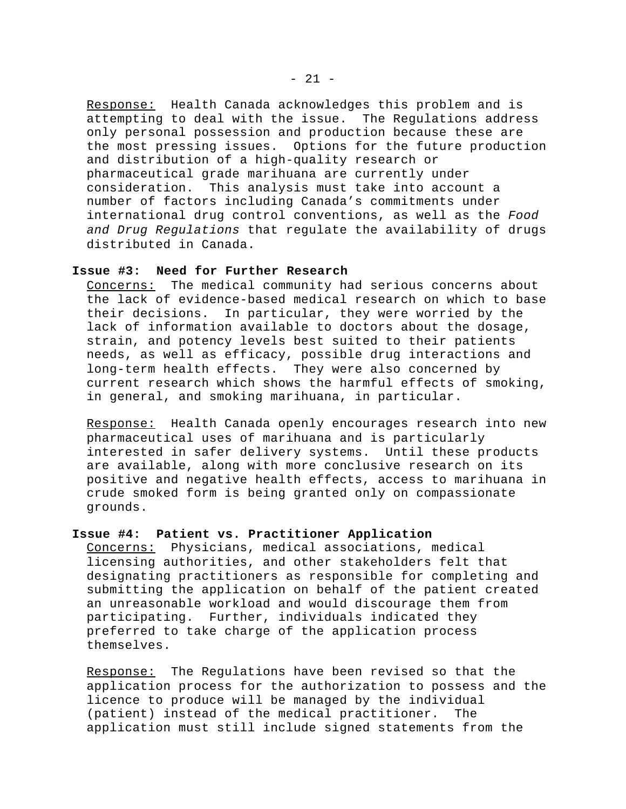Response: Health Canada acknowledges this problem and is attempting to deal with the issue. The Regulations address only personal possession and production because these are the most pressing issues. Options for the future production and distribution of a high-quality research or pharmaceutical grade marihuana are currently under consideration. This analysis must take into account a number of factors including Canada's commitments under international drug control conventions, as well as the *Food and Drug Regulations* that regulate the availability of drugs distributed in Canada.

## **Issue #3: Need for Further Research**

Concerns: The medical community had serious concerns about the lack of evidence-based medical research on which to base their decisions. In particular, they were worried by the lack of information available to doctors about the dosage, strain, and potency levels best suited to their patients needs, as well as efficacy, possible drug interactions and long-term health effects. They were also concerned by current research which shows the harmful effects of smoking, in general, and smoking marihuana, in particular.

Response: Health Canada openly encourages research into new pharmaceutical uses of marihuana and is particularly interested in safer delivery systems. Until these products are available, along with more conclusive research on its positive and negative health effects, access to marihuana in crude smoked form is being granted only on compassionate grounds.

## **Issue #4: Patient vs. Practitioner Application**

Concerns: Physicians, medical associations, medical licensing authorities, and other stakeholders felt that designating practitioners as responsible for completing and submitting the application on behalf of the patient created an unreasonable workload and would discourage them from participating. Further, individuals indicated they preferred to take charge of the application process themselves.

Response: The Regulations have been revised so that the application process for the authorization to possess and the licence to produce will be managed by the individual (patient) instead of the medical practitioner. The application must still include signed statements from the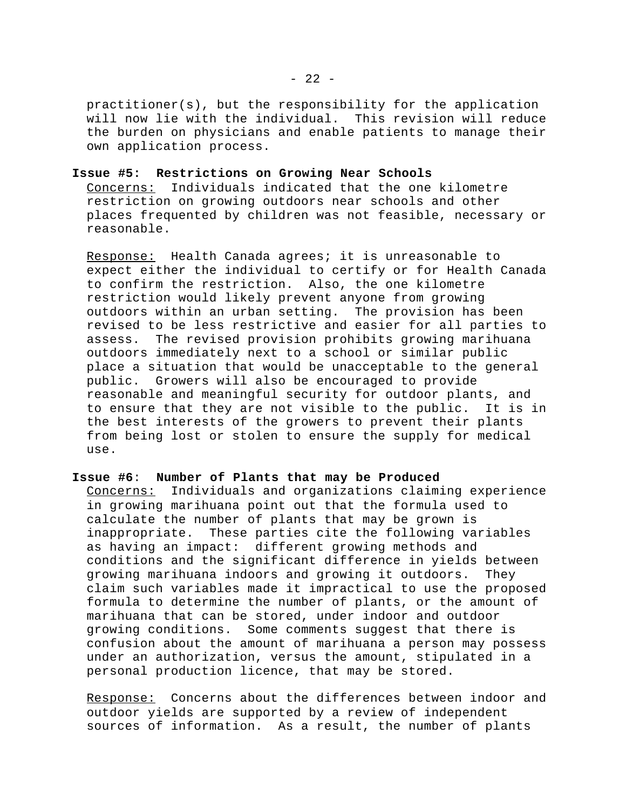practitioner(s), but the responsibility for the application will now lie with the individual. This revision will reduce the burden on physicians and enable patients to manage their own application process.

### **Issue #5: Restrictions on Growing Near Schools**

Concerns: Individuals indicated that the one kilometre restriction on growing outdoors near schools and other places frequented by children was not feasible, necessary or reasonable.

Response: Health Canada agrees; it is unreasonable to expect either the individual to certify or for Health Canada to confirm the restriction. Also, the one kilometre restriction would likely prevent anyone from growing outdoors within an urban setting. The provision has been revised to be less restrictive and easier for all parties to assess. The revised provision prohibits growing marihuana outdoors immediately next to a school or similar public place a situation that would be unacceptable to the general public. Growers will also be encouraged to provide reasonable and meaningful security for outdoor plants, and to ensure that they are not visible to the public. It is in the best interests of the growers to prevent their plants from being lost or stolen to ensure the supply for medical use.

#### **Issue #6**: **Number of Plants that may be Produced**

Concerns: Individuals and organizations claiming experience in growing marihuana point out that the formula used to calculate the number of plants that may be grown is inappropriate. These parties cite the following variables as having an impact: different growing methods and conditions and the significant difference in yields between growing marihuana indoors and growing it outdoors. They claim such variables made it impractical to use the proposed formula to determine the number of plants, or the amount of marihuana that can be stored, under indoor and outdoor growing conditions. Some comments suggest that there is confusion about the amount of marihuana a person may possess under an authorization, versus the amount, stipulated in a personal production licence, that may be stored.

Response: Concerns about the differences between indoor and outdoor yields are supported by a review of independent sources of information. As a result, the number of plants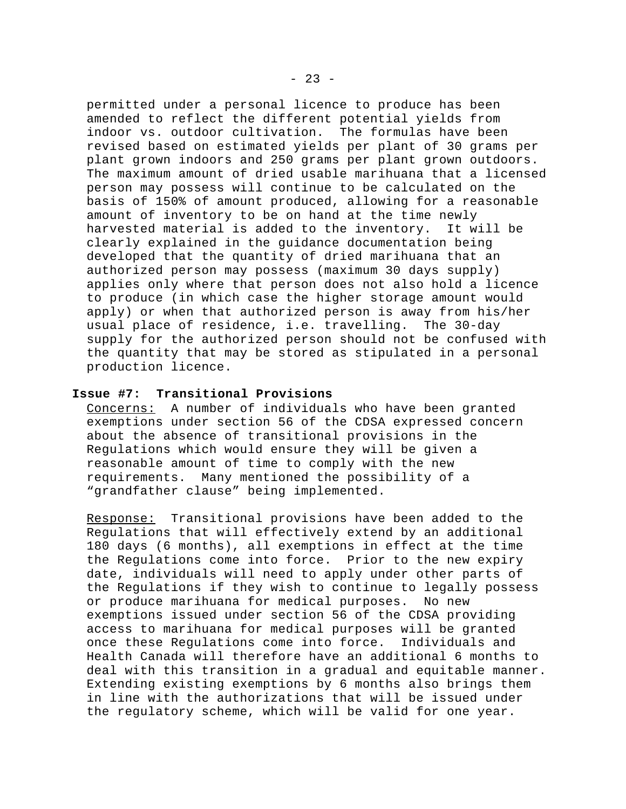permitted under a personal licence to produce has been amended to reflect the different potential yields from indoor vs. outdoor cultivation. The formulas have been revised based on estimated yields per plant of 30 grams per plant grown indoors and 250 grams per plant grown outdoors. The maximum amount of dried usable marihuana that a licensed person may possess will continue to be calculated on the basis of 150% of amount produced, allowing for a reasonable amount of inventory to be on hand at the time newly harvested material is added to the inventory. It will be clearly explained in the guidance documentation being developed that the quantity of dried marihuana that an authorized person may possess (maximum 30 days supply) applies only where that person does not also hold a licence to produce (in which case the higher storage amount would apply) or when that authorized person is away from his/her usual place of residence, i.e. travelling. The 30-day supply for the authorized person should not be confused with the quantity that may be stored as stipulated in a personal production licence.

## **Issue #7: Transitional Provisions**

Concerns: A number of individuals who have been granted exemptions under section 56 of the CDSA expressed concern about the absence of transitional provisions in the Regulations which would ensure they will be given a reasonable amount of time to comply with the new requirements. Many mentioned the possibility of a "grandfather clause" being implemented.

Response: Transitional provisions have been added to the Regulations that will effectively extend by an additional 180 days (6 months), all exemptions in effect at the time the Regulations come into force. Prior to the new expiry date, individuals will need to apply under other parts of the Regulations if they wish to continue to legally possess or produce marihuana for medical purposes. No new exemptions issued under section 56 of the CDSA providing access to marihuana for medical purposes will be granted once these Regulations come into force. Individuals and Health Canada will therefore have an additional 6 months to deal with this transition in a gradual and equitable manner. Extending existing exemptions by 6 months also brings them in line with the authorizations that will be issued under the regulatory scheme, which will be valid for one year.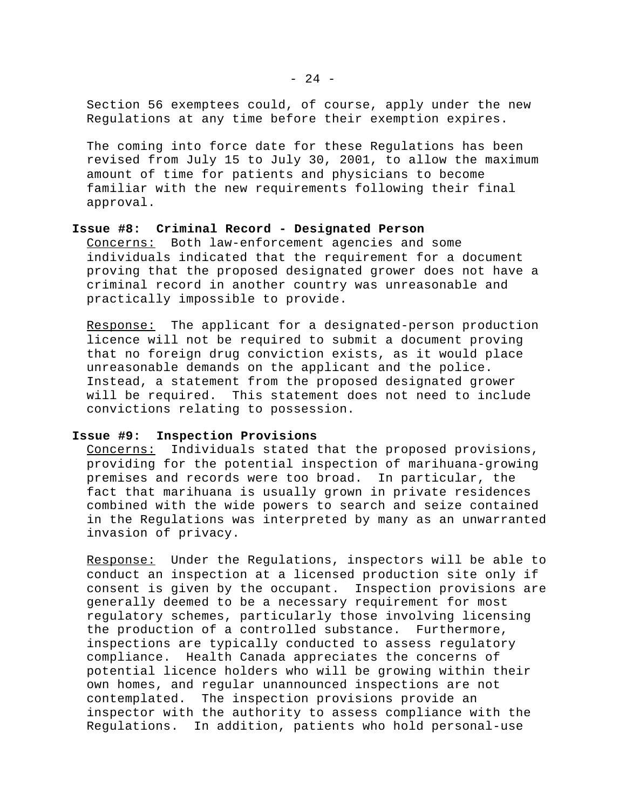Section 56 exemptees could, of course, apply under the new Regulations at any time before their exemption expires.

The coming into force date for these Regulations has been revised from July 15 to July 30, 2001, to allow the maximum amount of time for patients and physicians to become familiar with the new requirements following their final approval.

# **Issue #8: Criminal Record - Designated Person**

Concerns: Both law-enforcement agencies and some individuals indicated that the requirement for a document proving that the proposed designated grower does not have a criminal record in another country was unreasonable and practically impossible to provide.

Response: The applicant for a designated-person production licence will not be required to submit a document proving that no foreign drug conviction exists, as it would place unreasonable demands on the applicant and the police. Instead, a statement from the proposed designated grower will be required. This statement does not need to include convictions relating to possession.

## **Issue #9: Inspection Provisions**

Concerns: Individuals stated that the proposed provisions, providing for the potential inspection of marihuana-growing premises and records were too broad. In particular, the fact that marihuana is usually grown in private residences combined with the wide powers to search and seize contained in the Regulations was interpreted by many as an unwarranted invasion of privacy.

Response: Under the Regulations, inspectors will be able to conduct an inspection at a licensed production site only if consent is given by the occupant. Inspection provisions are generally deemed to be a necessary requirement for most regulatory schemes, particularly those involving licensing the production of a controlled substance. Furthermore, inspections are typically conducted to assess regulatory compliance. Health Canada appreciates the concerns of potential licence holders who will be growing within their own homes, and regular unannounced inspections are not contemplated. The inspection provisions provide an inspector with the authority to assess compliance with the Regulations. In addition, patients who hold personal-use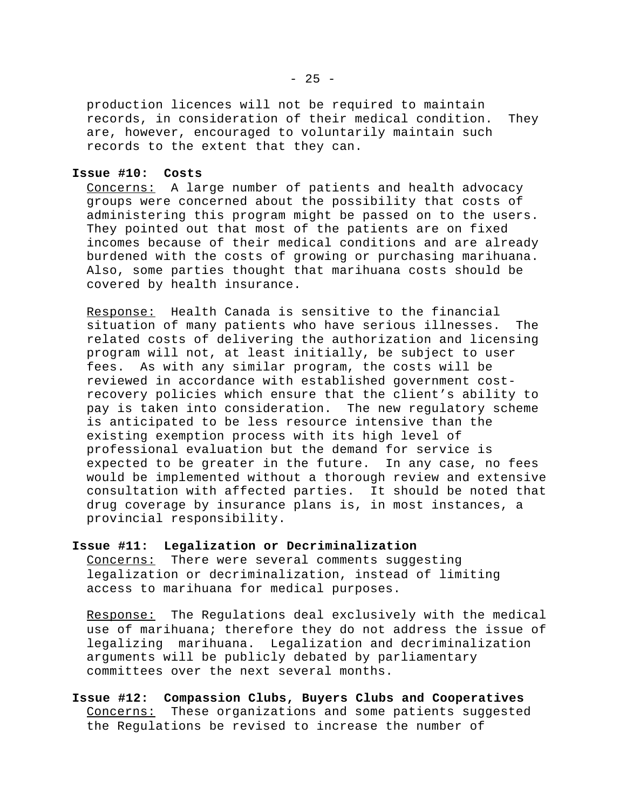production licences will not be required to maintain records, in consideration of their medical condition. They are, however, encouraged to voluntarily maintain such records to the extent that they can.

#### **Issue #10: Costs**

Concerns: A large number of patients and health advocacy groups were concerned about the possibility that costs of administering this program might be passed on to the users. They pointed out that most of the patients are on fixed incomes because of their medical conditions and are already burdened with the costs of growing or purchasing marihuana. Also, some parties thought that marihuana costs should be covered by health insurance.

Response: Health Canada is sensitive to the financial situation of many patients who have serious illnesses. The related costs of delivering the authorization and licensing program will not, at least initially, be subject to user fees. As with any similar program, the costs will be reviewed in accordance with established government costrecovery policies which ensure that the client's ability to pay is taken into consideration. The new regulatory scheme is anticipated to be less resource intensive than the existing exemption process with its high level of professional evaluation but the demand for service is expected to be greater in the future. In any case, no fees would be implemented without a thorough review and extensive consultation with affected parties. It should be noted that drug coverage by insurance plans is, in most instances, a provincial responsibility.

## **Issue #11: Legalization or Decriminalization**

Concerns: There were several comments suggesting legalization or decriminalization, instead of limiting access to marihuana for medical purposes.

Response: The Regulations deal exclusively with the medical use of marihuana; therefore they do not address the issue of legalizing marihuana. Legalization and decriminalization arguments will be publicly debated by parliamentary committees over the next several months.

**Issue #12: Compassion Clubs, Buyers Clubs and Cooperatives** Concerns: These organizations and some patients suggested the Regulations be revised to increase the number of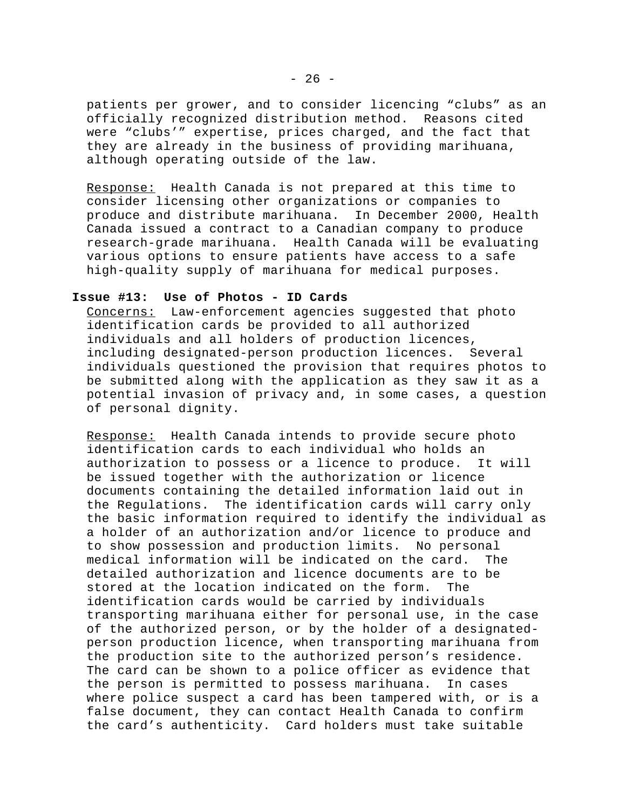patients per grower, and to consider licencing "clubs" as an officially recognized distribution method. Reasons cited were "clubs'" expertise, prices charged, and the fact that they are already in the business of providing marihuana, although operating outside of the law.

Response: Health Canada is not prepared at this time to consider licensing other organizations or companies to produce and distribute marihuana. In December 2000, Health Canada issued a contract to a Canadian company to produce research-grade marihuana. Health Canada will be evaluating various options to ensure patients have access to a safe high-quality supply of marihuana for medical purposes.

## **Issue #13: Use of Photos - ID Cards**

Concerns: Law-enforcement agencies suggested that photo identification cards be provided to all authorized individuals and all holders of production licences, including designated-person production licences. Several individuals questioned the provision that requires photos to be submitted along with the application as they saw it as a potential invasion of privacy and, in some cases, a question of personal dignity.

Response: Health Canada intends to provide secure photo identification cards to each individual who holds an authorization to possess or a licence to produce. It will be issued together with the authorization or licence documents containing the detailed information laid out in the Regulations. The identification cards will carry only the basic information required to identify the individual as a holder of an authorization and/or licence to produce and to show possession and production limits. No personal medical information will be indicated on the card. The detailed authorization and licence documents are to be stored at the location indicated on the form. The identification cards would be carried by individuals transporting marihuana either for personal use, in the case of the authorized person, or by the holder of a designatedperson production licence, when transporting marihuana from the production site to the authorized person's residence. The card can be shown to a police officer as evidence that the person is permitted to possess marihuana. In cases where police suspect a card has been tampered with, or is a false document, they can contact Health Canada to confirm the card's authenticity. Card holders must take suitable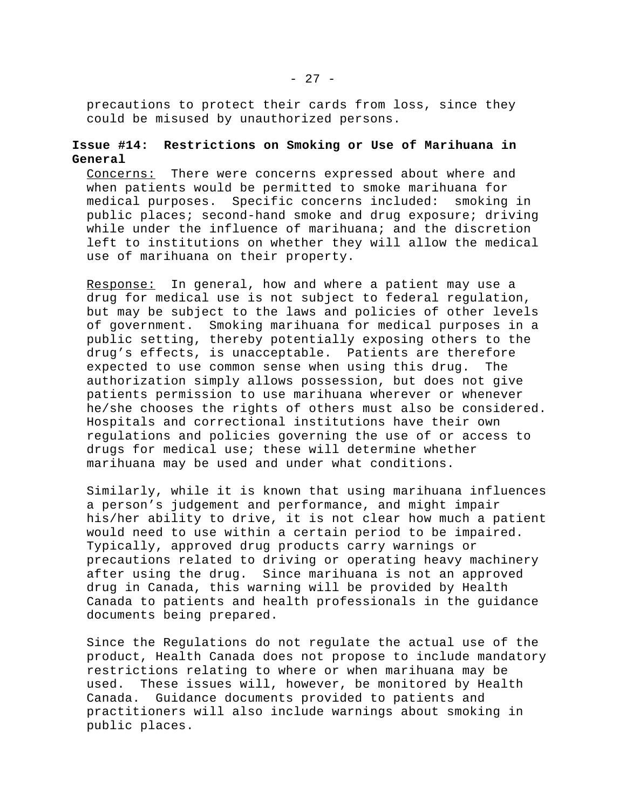precautions to protect their cards from loss, since they could be misused by unauthorized persons.

# **Issue #14: Restrictions on Smoking or Use of Marihuana in General**

Concerns: There were concerns expressed about where and when patients would be permitted to smoke marihuana for medical purposes. Specific concerns included: smoking in public places; second-hand smoke and drug exposure; driving while under the influence of marihuana; and the discretion left to institutions on whether they will allow the medical use of marihuana on their property.

Response: In general, how and where a patient may use a drug for medical use is not subject to federal regulation, but may be subject to the laws and policies of other levels of government. Smoking marihuana for medical purposes in a public setting, thereby potentially exposing others to the drug's effects, is unacceptable. Patients are therefore expected to use common sense when using this drug. The authorization simply allows possession, but does not give patients permission to use marihuana wherever or whenever he/she chooses the rights of others must also be considered. Hospitals and correctional institutions have their own regulations and policies governing the use of or access to drugs for medical use; these will determine whether marihuana may be used and under what conditions.

Similarly, while it is known that using marihuana influences a person's judgement and performance, and might impair his/her ability to drive, it is not clear how much a patient would need to use within a certain period to be impaired. Typically, approved drug products carry warnings or precautions related to driving or operating heavy machinery after using the drug. Since marihuana is not an approved drug in Canada, this warning will be provided by Health Canada to patients and health professionals in the guidance documents being prepared.

Since the Regulations do not regulate the actual use of the product, Health Canada does not propose to include mandatory restrictions relating to where or when marihuana may be used. These issues will, however, be monitored by Health Canada. Guidance documents provided to patients and practitioners will also include warnings about smoking in public places.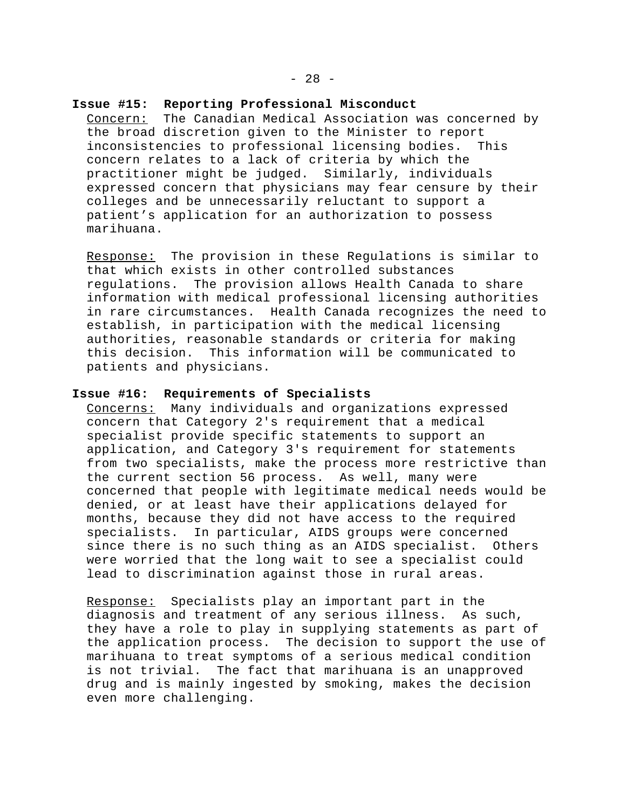### **Issue #15: Reporting Professional Misconduct**

Concern: The Canadian Medical Association was concerned by the broad discretion given to the Minister to report inconsistencies to professional licensing bodies. This concern relates to a lack of criteria by which the practitioner might be judged. Similarly, individuals expressed concern that physicians may fear censure by their colleges and be unnecessarily reluctant to support a patient's application for an authorization to possess marihuana.

Response: The provision in these Regulations is similar to that which exists in other controlled substances regulations. The provision allows Health Canada to share information with medical professional licensing authorities in rare circumstances. Health Canada recognizes the need to establish, in participation with the medical licensing authorities, reasonable standards or criteria for making this decision. This information will be communicated to patients and physicians.

## **Issue #16: Requirements of Specialists**

Concerns: Many individuals and organizations expressed concern that Category 2's requirement that a medical specialist provide specific statements to support an application, and Category 3's requirement for statements from two specialists, make the process more restrictive than the current section 56 process. As well, many were concerned that people with legitimate medical needs would be denied, or at least have their applications delayed for months, because they did not have access to the required specialists. In particular, AIDS groups were concerned since there is no such thing as an AIDS specialist. Others were worried that the long wait to see a specialist could lead to discrimination against those in rural areas.

Response: Specialists play an important part in the diagnosis and treatment of any serious illness. As such, they have a role to play in supplying statements as part of the application process. The decision to support the use of marihuana to treat symptoms of a serious medical condition is not trivial. The fact that marihuana is an unapproved drug and is mainly ingested by smoking, makes the decision even more challenging.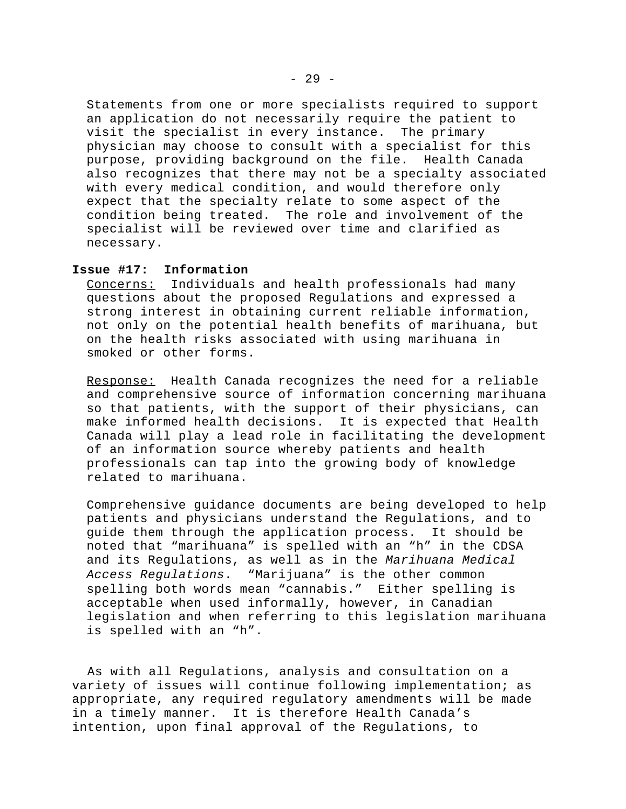Statements from one or more specialists required to support an application do not necessarily require the patient to visit the specialist in every instance. The primary physician may choose to consult with a specialist for this purpose, providing background on the file. Health Canada also recognizes that there may not be a specialty associated with every medical condition, and would therefore only expect that the specialty relate to some aspect of the condition being treated. The role and involvement of the specialist will be reviewed over time and clarified as necessary.

## **Issue #17: Information**

Concerns: Individuals and health professionals had many questions about the proposed Regulations and expressed a strong interest in obtaining current reliable information, not only on the potential health benefits of marihuana, but on the health risks associated with using marihuana in smoked or other forms.

Response: Health Canada recognizes the need for a reliable and comprehensive source of information concerning marihuana so that patients, with the support of their physicians, can make informed health decisions. It is expected that Health Canada will play a lead role in facilitating the development of an information source whereby patients and health professionals can tap into the growing body of knowledge related to marihuana.

Comprehensive guidance documents are being developed to help patients and physicians understand the Regulations, and to guide them through the application process. It should be noted that "marihuana" is spelled with an "h" in the CDSA and its Regulations, as well as in the *Marihuana Medical Access Regulations*. "Marijuana" is the other common spelling both words mean "cannabis." Either spelling is acceptable when used informally, however, in Canadian legislation and when referring to this legislation marihuana is spelled with an "h".

 As with all Regulations, analysis and consultation on a variety of issues will continue following implementation; as appropriate, any required regulatory amendments will be made in a timely manner. It is therefore Health Canada's intention, upon final approval of the Regulations, to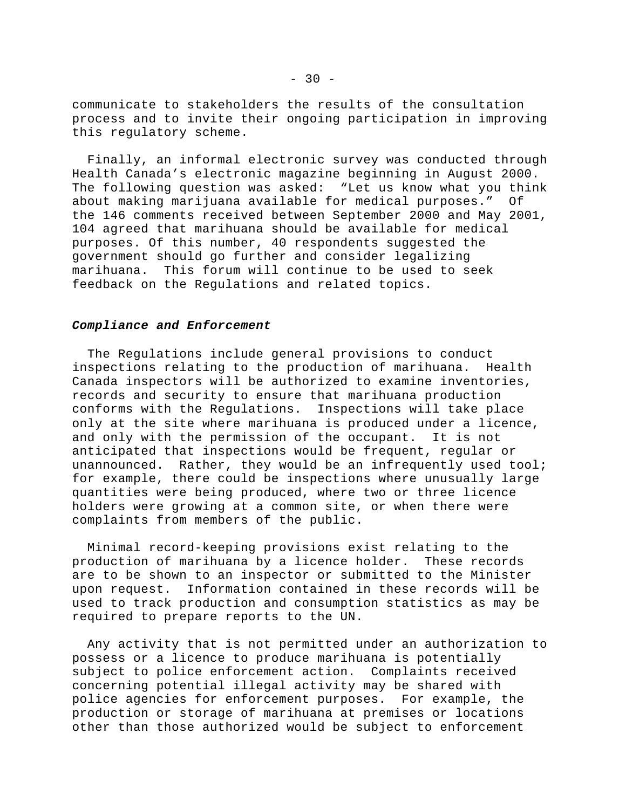communicate to stakeholders the results of the consultation process and to invite their ongoing participation in improving this regulatory scheme.

 Finally, an informal electronic survey was conducted through Health Canada's electronic magazine beginning in August 2000. The following question was asked: "Let us know what you think about making marijuana available for medical purposes." Of the 146 comments received between September 2000 and May 2001, 104 agreed that marihuana should be available for medical purposes. Of this number, 40 respondents suggested the government should go further and consider legalizing marihuana. This forum will continue to be used to seek feedback on the Regulations and related topics.

#### *Compliance and Enforcement*

 The Regulations include general provisions to conduct inspections relating to the production of marihuana. Health Canada inspectors will be authorized to examine inventories, records and security to ensure that marihuana production conforms with the Regulations.Inspections will take place only at the site where marihuana is produced under a licence, and only with the permission of the occupant. It is not anticipated that inspections would be frequent, regular or unannounced. Rather, they would be an infrequently used tool; for example, there could be inspections where unusually large quantities were being produced, where two or three licence holders were growing at a common site, or when there were complaints from members of the public.

 Minimal record-keeping provisions exist relating to the production of marihuana by a licence holder. These records are to be shown to an inspector or submitted to the Minister upon request. Information contained in these records will be used to track production and consumption statistics as may be required to prepare reports to the UN.

 Any activity that is not permitted under an authorization to possess or a licence to produce marihuana is potentially subject to police enforcement action. Complaints received concerning potential illegal activity may be shared with police agencies for enforcement purposes. For example, the production or storage of marihuana at premises or locations other than those authorized would be subject to enforcement